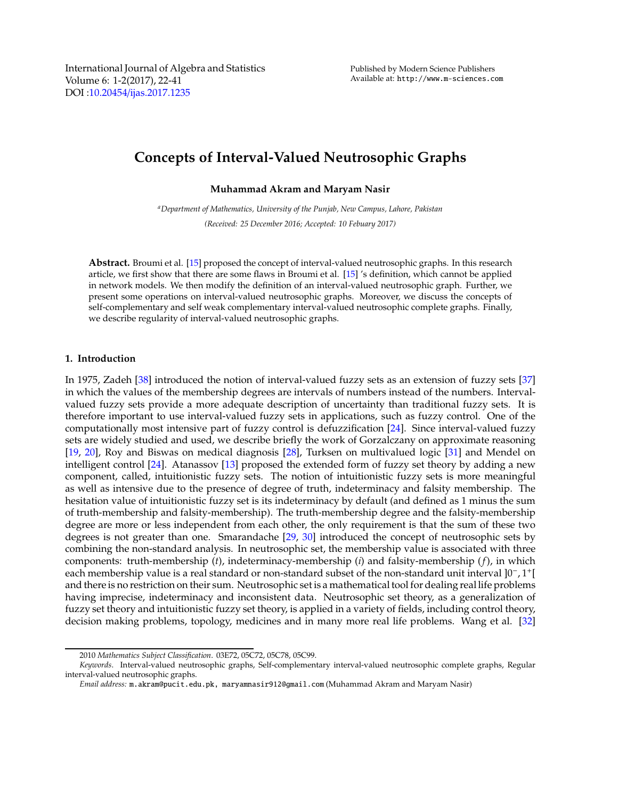International Journal of Algebra and Statistics Volume 6: 1-2(2017), 22-41 DOI :10.20454/[ijas.2017.1235](http://dx.doi.org/10.20454/ijas.2017.1235)

# **Concepts of Interval-Valued Neutrosophic Graphs**

**Muhammad Akram and Maryam Nasir**

*<sup>a</sup>Department of Mathematics, University of the Punjab, New Campus, Lahore, Pakistan (Received: 25 December 2016; Accepted: 10 Febuary 2017)*

**Abstract.** Broumi et al. [\[15\]](#page-19-0) proposed the concept of interval-valued neutrosophic graphs. In this research article, we first show that there are some flaws in Broumi et al. [\[15\]](#page-19-0) 's definition, which cannot be applied in network models. We then modify the definition of an interval-valued neutrosophic graph. Further, we present some operations on interval-valued neutrosophic graphs. Moreover, we discuss the concepts of self-complementary and self weak complementary interval-valued neutrosophic complete graphs. Finally, we describe regularity of interval-valued neutrosophic graphs.

## **1. Introduction**

In 1975, Zadeh [\[38](#page-19-1)] introduced the notion of interval-valued fuzzy sets as an extension of fuzzy sets [\[37\]](#page-19-2) in which the values of the membership degrees are intervals of numbers instead of the numbers. Intervalvalued fuzzy sets provide a more adequate description of uncertainty than traditional fuzzy sets. It is therefore important to use interval-valued fuzzy sets in applications, such as fuzzy control. One of the computationally most intensive part of fuzzy control is defuzzification [\[24\]](#page-19-3). Since interval-valued fuzzy sets are widely studied and used, we describe briefly the work of Gorzalczany on approximate reasoning [\[19,](#page-19-4) [20](#page-19-5)], Roy and Biswas on medical diagnosis [\[28\]](#page-19-6), Turksen on multivalued logic [\[31](#page-19-7)] and Mendel on intelligent control [\[24\]](#page-19-3). Atanassov [\[13\]](#page-19-8) proposed the extended form of fuzzy set theory by adding a new component, called, intuitionistic fuzzy sets. The notion of intuitionistic fuzzy sets is more meaningful as well as intensive due to the presence of degree of truth, indeterminacy and falsity membership. The hesitation value of intuitionistic fuzzy set is its indeterminacy by default (and defined as 1 minus the sum of truth-membership and falsity-membership). The truth-membership degree and the falsity-membership degree are more or less independent from each other, the only requirement is that the sum of these two degrees is not greater than one. Smarandache [\[29,](#page-19-9) [30\]](#page-19-10) introduced the concept of neutrosophic sets by combining the non-standard analysis. In neutrosophic set, the membership value is associated with three components: truth-membership (*t*), indeterminacy-membership (*i*) and falsity-membership (*f*), in which each membership value is a real standard or non-standard subset of the non-standard unit interval ]0<sup>−</sup> , 1 + [ and there is no restriction on their sum. Neutrosophic set is a mathematical tool for dealing reallife problems having imprecise, indeterminacy and inconsistent data. Neutrosophic set theory, as a generalization of fuzzy set theory and intuitionistic fuzzy set theory, is applied in a variety of fields, including control theory, decision making problems, topology, medicines and in many more real life problems. Wang et al. [\[32\]](#page-19-11)

<sup>2010</sup> *Mathematics Subject Classification*. 03E72, 05C72, 05C78, 05C99.

*Keywords*. Interval-valued neutrosophic graphs, Self-complementary interval-valued neutrosophic complete graphs, Regular interval-valued neutrosophic graphs.

*Email address:* m.akram@pucit.edu.pk, maryamnasir912@gmail.com (Muhammad Akram and Maryam Nasir)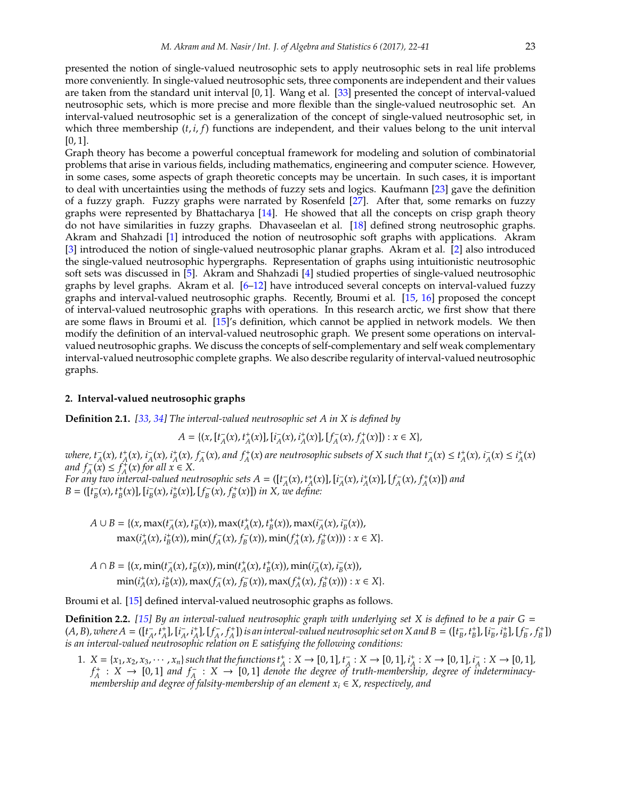presented the notion of single-valued neutrosophic sets to apply neutrosophic sets in real life problems more conveniently. In single-valued neutrosophic sets, three components are independent and their values are taken from the standard unit interval [0, 1]. Wang et al. [\[33\]](#page-19-12) presented the concept of interval-valued neutrosophic sets, which is more precise and more flexible than the single-valued neutrosophic set. An interval-valued neutrosophic set is a generalization of the concept of single-valued neutrosophic set, in which three membership (*t*, *i*, *f*) functions are independent, and their values belong to the unit interval [0, 1].

Graph theory has become a powerful conceptual framework for modeling and solution of combinatorial problems that arise in various fields, including mathematics, engineering and computer science. However, in some cases, some aspects of graph theoretic concepts may be uncertain. In such cases, it is important to deal with uncertainties using the methods of fuzzy sets and logics. Kaufmann [\[23\]](#page-19-13) gave the definition of a fuzzy graph. Fuzzy graphs were narrated by Rosenfeld [\[27\]](#page-19-14). After that, some remarks on fuzzy graphs were represented by Bhattacharya [\[14](#page-19-15)]. He showed that all the concepts on crisp graph theory do not have similarities in fuzzy graphs. Dhavaseelan et al. [\[18](#page-19-16)] defined strong neutrosophic graphs. Akram and Shahzadi [\[1](#page-18-0)] introduced the notion of neutrosophic soft graphs with applications. Akram [\[3\]](#page-18-1) introduced the notion of single-valued neutrosophic planar graphs. Akram et al. [\[2](#page-18-2)] also introduced the single-valued neutrosophic hypergraphs. Representation of graphs using intuitionistic neutrosophic soft sets was discussed in [\[5](#page-18-3)]. Akram and Shahzadi [\[4](#page-18-4)] studied properties of single-valued neutrosophic graphs by level graphs. Akram et al. [\[6](#page-19-17)[–12](#page-19-18)] have introduced several concepts on interval-valued fuzzy graphs and interval-valued neutrosophic graphs. Recently, Broumi et al. [\[15,](#page-19-0) [16\]](#page-19-19) proposed the concept of interval-valued neutrosophic graphs with operations. In this research arctic, we first show that there are some flaws in Broumi et al. [\[15](#page-19-0)]'s definition, which cannot be applied in network models. We then modify the definition of an interval-valued neutrosophic graph. We present some operations on intervalvalued neutrosophic graphs. We discuss the concepts of self-complementary and self weak complementary interval-valued neutrosophic complete graphs. We also describe regularity of interval-valued neutrosophic graphs.

## **2. Interval-valued neutrosophic graphs**

**Definition 2.1.** *[\[33](#page-19-12), [34](#page-19-20)] The interval-valued neutrosophic set A in X is defined by*

<span id="page-1-0"></span>
$$
A = \{ (x, [t_A^-(x), t_A^+(x)], [t_A^-(x), t_A^+(x)], [f_A^-(x), f_A^+(x)]\} : x \in X \},\
$$

where,  $t_A^-(x)$ ,  $t_A^+(x)$ ,  $i_A^-(x)$ ,  $i_A^+(x)$ ,  $f_A^-(x)$ , and  $f_A^+(x)$  are neutrosophic subsets of X such that  $t_A^-(x) \le t_A^+(x)$ ,  $i_A^-(x) \le t_A^+(x)$  $\lim_{x \to a} f_A^-(x) \leq f_A^+(x)$  *for all*  $x \in X$ .

For any two interval-valued neutrosophic sets  $A = ([t_A^-(x), t_A^+(x)],[i_A^-(x), i_A^+(x)],[f_A^-(x), f_A^+(x)])$  and B = ([ $t_B^-(x)$ ,  $t_B^+(x)$ ], [ $t_B^-(x)$ ,  $t_B^+(x)$ ], [ $f_B^-(x)$ ,  $f_B^+(x)$ ]) in X, we define:

$$
A \cup B = \{ (x, \max(t_A^-(x), t_B^-(x)), \max(t_A^+(x), t_B^+(x)), \max(t_A^-(x), t_B^-(x)),
$$
  

$$
\max(t_A^+(x), t_B^+(x)), \min(t_A^-(x), t_B^-(x)), \min(t_A^+(x), t_B^+(x))) : x \in X \}.
$$

 $A \cap B = \{(x, \min(t_A^-(x), t_B^-(x)), \min(t_A^+(x), t_B^+(x)), \min(t_A^-(x), t_B^-(x))),$  $\min(i_A^+(x), i_B^+(x))$ ,  $\max(f_A^-(x), f_B^-(x))$ ,  $\max(f_A^+(x), f_B^+(x))) : x \in X$ .

Broumi et al. [\[15\]](#page-19-0) defined interval-valued neutrosophic graphs as follows.

**Definition 2.2.** *[\[15](#page-19-0)] By an interval-valued neutrosophic graph with underlying set X is defined to be a pair G* =  $(A, B)$ , where  $A = (\llbracket t_A^-, t_A^+ \rrbracket, \llbracket t_A^-, t_A^+ \rrbracket, \llbracket f_A^-, f_A^+ \rrbracket)$  is an interval-valued neutrosophic set on X and  $B = (\llbracket t_B^-, t_B^+ \rrbracket, \llbracket t_B^-, t_B^+ \rrbracket, \llbracket f_B^-, f_B^+ \rrbracket)$ *is an interval-valued neutrosophic relation on E satisfying the following conditions:*

1.  $X = \{x_1, x_2, x_3, \cdots, x_n\}$  such that the functions  $t_A^*: X \to [0, 1], t_A^*: X \to [0, 1], t_A^*: X \to [0, 1], t_A^*: X \to [0, 1],$  $f_A^+$  :  $X \to [0,1]$  and  $f_A^-$  :  $X \to [0,1]$  denote the degree of truth-membership, degree of indeterminacy*membership and degree of falsity-membership of an element x<sup>i</sup>* ∈ *X, respectively, and*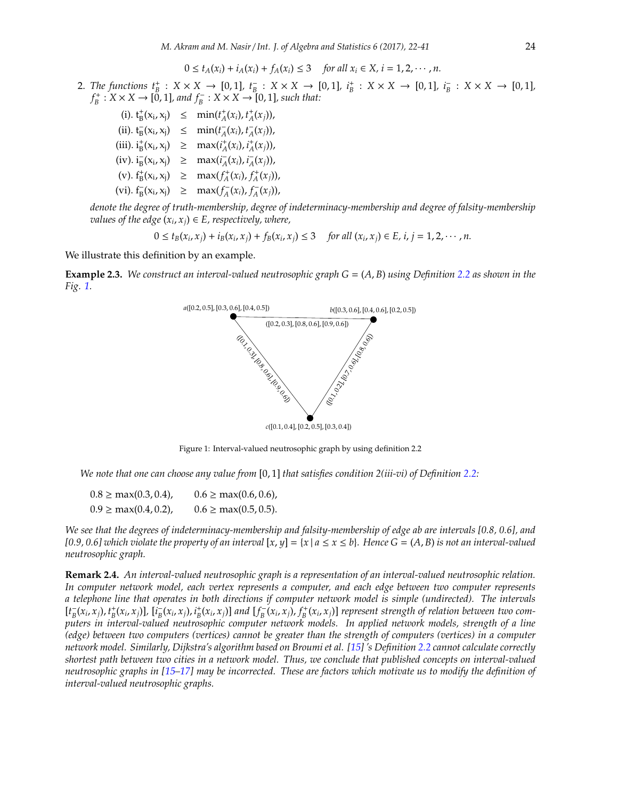$$
0 \leq t_A(x_i) + i_A(x_i) + f_A(x_i) \leq 3 \quad \text{for all } x_i \in X, i = 1, 2, \cdots, n.
$$

2. The functions  $t_B^+ : X \times X \to [0,1], t_B^- : X \times X \to [0,1], t_B^+ : X \times X \to [0,1], t_B^- : X \times X \to [0,1],$  $f_B^+$ :  $X \times X \to [0, 1]$ *, and*  $f_B^-$ :  $X \times X \to [0, 1]$ *, such that:* 

(i).  $t_B^+(x_i, x_j) \leq \min(t_A^+(x_i), t_A^+(x_j)),$ (ii).  $t_B^-(x_i, x_j) \leq \min(t_A^-(x_i), t_A^-(x_j)),$ (iii).  $i_B^+(x_i, x_j) \geq \max(i_A^+(x_i), i_A^+(x_j)),$  $(\text{iv}). \, \mathbf{i}_{B}^{-}(x_{i}, x_{j}) \geq \max(i_{A}^{-}(x_{i}), i_{A}^{-}(x_{j})),$  $(\mathbf{v}). \mathbf{f}_{\mathbf{B}}^{+}(\mathbf{x}_{i}, \mathbf{x}_{j}) \geq \max(f_{A}^{+}(x_{i}), f_{A}^{+}(x_{j})),$  $(\text{vi}). \text{ } f_B^-(x_i, x_j) \geq \max(f_A^-(x_i), f_A^-(x_j)),$ 

*denote the degree of truth-membership, degree of indeterminacy-membership and degree of falsity-membership values of the edge*  $(x_i, x_j) \in E$ , respectively, where,

 $0 \le t_B(x_i, x_j) + i_B(x_i, x_j) + f_B(x_i, x_j) \le 3$  for all  $(x_i, x_j) \in E$ ,  $i, j = 1, 2, \dots, n$ .

We illustrate this definition by an example.

**Example 2.3.** *We construct an interval-valued neutrosophic graph G* = (*A*, *B*) *using Definition [2.2](#page-1-0) as shown in the Fig. [1.](#page-2-0)*



<span id="page-2-0"></span>Figure 1: Interval-valued neutrosophic graph by using definition 2.2

*We note that one can choose any value from* [0, 1] *that satisfies condition 2(iii-vi) of Definition [2.2:](#page-1-0)*

 $0.8 \ge \max(0.3, 0.4), \qquad 0.6 \ge \max(0.6, 0.6),$  $0.9 \ge \max(0.4, 0.2), \qquad 0.6 \ge \max(0.5, 0.5).$ 

*We see that the degrees of indeterminacy-membership and falsity-membership of edge ab are intervals [0.8, 0.6], and [0.9, 0.6] which violate the property of an interval*  $[x, y] = \{x \mid a \le x \le b\}$ *. Hence G* =  $(A, B)$  *is not an interval-valued neutrosophic graph.*

**Remark 2.4.** *An interval-valued neutrosophic graph is a representation of an interval-valued neutrosophic relation. In computer network model, each vertex represents a computer, and each edge between two computer represents a telephone line that operates in both directions if computer network model is simple (undirected). The intervals*  $[t_B^-(x_i,x_j),t_B^+(x_i,x_j)]$ ,  $[i_B^-(x_i,x_j),i_B^+(x_i,x_j)]$  and  $[f_B^-(x_i,x_j),f_B^+(x_i,x_j)]$  represent strength of relation between two com*puters in interval-valued neutrosophic computer network models. In applied network models, strength of a line (edge) between two computers (vertices) cannot be greater than the strength of computers (vertices) in a computer network model. Similarly, Dijkstra's algorithm based on Broumi et al. [\[15\]](#page-19-0) 's Definition [2.2](#page-1-0) cannot calculate correctly shortest path between two cities in a network model. Thus, we conclude that published concepts on interval-valued neutrosophic graphs in [\[15](#page-19-0)[–17\]](#page-19-21) may be incorrected. These are factors which motivate us to modify the definition of interval-valued neutrosophic graphs.*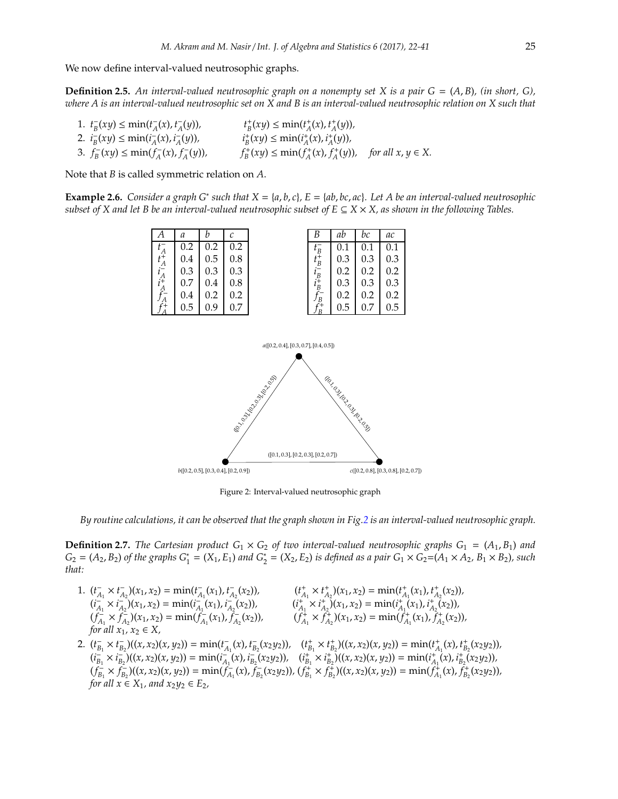We now define interval-valued neutrosophic graphs.

**Definition 2.5.** An interval-valued neutrosophic graph on a nonempty set X is a pair  $G = (A, B)$ , (in short,  $G$ ), *where A is an interval-valued neutrosophic set on X and B is an interval-valued neutrosophic relation on X such that*

1.  $t_B^-(xy) \le \min(t_A^-(x), t_A^-(y)),$   $t_B^+(xy) \le \min(t_A^+(x), t_A^+(y)),$ 2.  $i_B^-(xy) \le \min(i_A^-(x), i_A^-(y))$ ,  $i_B^+(xy) \le \min(i_A^+(x), i_A^+(y))$ , 3.  $f_B^-(xy) \le \min(f_A^-(x), f_A^-(y)),$   $f_B^+(xy) \le \min(f_A^+(x), f_A^+(y)),$  for all  $x, y \in X$ .

Note that *B* is called symmetric relation on *A*.

**Example 2.6.** *Consider a graph G<sup>∗</sup> such that*  $X = \{a, b, c\}$ *,*  $E = \{ab, bc, ac\}$ *. Let A be an interval-valued neutrosophic subset of X and let B be an interval-valued neutrosophic subset of E*  $\subseteq$  *X*  $\times$  *X*, *as shown in the following Tables.* 

| А                             | a   | h   | C   | В                          | ab  | bc  |
|-------------------------------|-----|-----|-----|----------------------------|-----|-----|
| Α                             | 0.2 | 0.2 | 0.2 | E                          | 0.1 |     |
| $t_A^+$<br>$i_A^-$<br>$i_A^+$ | 0.4 | 0.5 | 0.8 | $t_B^+$                    | 0.3 | 0.3 |
|                               | 0.3 | 0.3 | 0.3 |                            | 0.2 | 0.2 |
|                               | 0.7 | 0.4 | 0.8 | $\iota_B^-$<br>$\iota_B^+$ | 0.3 | 0.3 |
|                               | 0.4 | 0.2 | 0.2 | $\overline{B}$             | 0.2 | 0.2 |
| $\overset{A}{\mathcal{C}^+}$  | 0.5 | 0.9 | 0.7 | $\boldsymbol{B}$           | 0.5 | 0.7 |



<span id="page-3-0"></span>Figure 2: Interval-valued neutrosophic graph

*By routine calculations, it can be observed that the graph shown in Fig[.2](#page-3-0) is an interval-valued neutrosophic graph.*

**Definition 2.7.** The Cartesian product  $G_1 \times G_2$  of two interval-valued neutrosophic graphs  $G_1 = (A_1, B_1)$  and  $G_2 = (A_2, B_2)$  of the graphs  $G_1^* = (X_1, E_1)$  and  $G_2^* = (X_2, E_2)$  is defined as a pair  $G_1 \times G_2 = (A_1 \times A_2, B_1 \times B_2)$ , such *that:*

- 1.  $(t_{A_1}^{\dagger} \times t_{A_2}^{\dagger})(x_1, x_2) = \min(t_{A_1}^{\dagger}(x_1), t_{A_2}^{\dagger}(x_2)),$   $(t_{A_1}^{\dagger} \times t_{A_2}^{\dagger})(x_1, x_2) = \min(t_{A_1}^{\dagger}(x_1), t_{A_2}^{\dagger}(x_2)),$  $(i_{A_1}^{-} \times i_{A_2}^{-}) (x_1, x_2) = \min(i_{A_1}^{-} (x_1), i_{A_2}^{-} (x_2)),$   $(i_{A_1}^{+} \times i_{A_2}^{+}) (x_1, x_2) = \min(i_{A_1}^{+} (x_1), i_{A_2}^{+} (x_2)),$  $(f_{A_1}^{\perp} \times f_{A_2}^{\perp})(x_1, x_2) = \min(f_{A_1}^{\perp}(x_1), f_{A_2}^{\perp}(x_2)),$   $(f_{A_1}^{\perp} \times f_{A_2}^{\perp})(x_1, x_2) = \min(f_{A_1}^{\perp}(x_1), f_{A_2}^{\perp}(x_2)),$ *for all*  $x_1, x_2 \in X$ , 2.  $(t_{B_1}^-\times t_{B_2}^-)((x,x_2)(x,y_2)) = \min(t_{A_1}^-(x), t_{B_2}^-(x_2y_2)), \quad (t_{B_1}^+\times t_{B_2}^+)((x,x_2)(x,y_2)) = \min(t_{A_1}^+(x), t_{B_2}^+(x_2y_2)),$
- $(i_{B_1}^-\times i_{B_2}^-\)((x,x_2)(x,y_2)) = \min(i_{A_1}^-(x), i_{B_2}^-(x_2y_2)), \quad (i_{B_1}^+\times i_{B_2}^+\) ((x,x_2)(x,y_2)) = \min(i_{A_1}^+(x), i_{B_2}^+(\overline{x_2y_2})),$  $(f_{B_1}^{-} \times f_{B_2}^{-})((x, x_2)(x, y_2)) = \min(f_{A_1}^{-}(x), f_{B_2}^{-}(x_2y_2)), (f_{B_1}^{+} \times f_{B_2}^{+})((x, x_2)(x, y_2)) = \min(f_{A_1}^{+}(x), f_{B_2}^{+}(x_2y_2)),$ *for all*  $x \in X_1$ *, and*  $x_2y_2 \in E_2$ *,*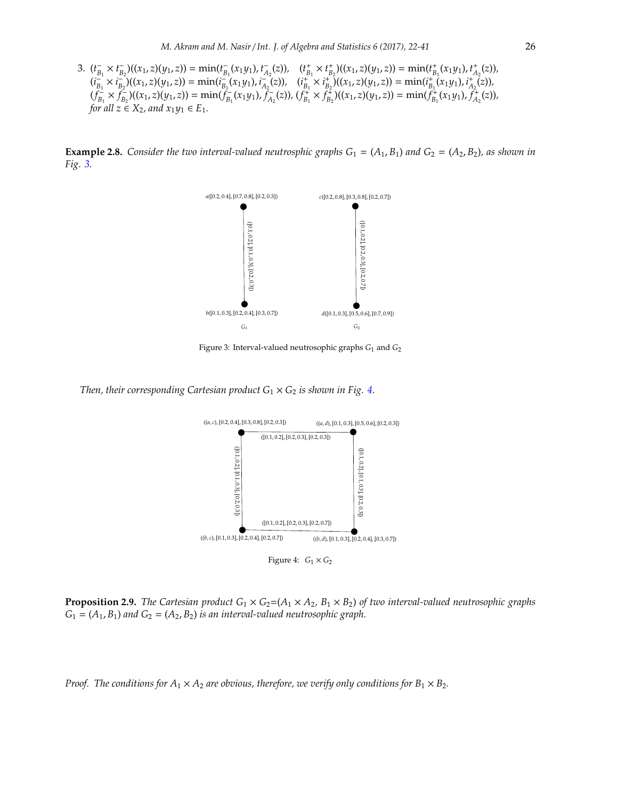3.  $(t_{B_1}^-\times t_{B_2}^-)((x_1,z)(y_1,z)) = \min(t_{B_1}^-(x_1y_1), t_{A_2}^-(z)), \quad (t_{B_1}^+\times t_{B_2}^+)((x_1,z)(y_1,z)) = \min(t_{B_1}^+(x_1y_1), t_{A_2}^+(z)),$  $(i_{B_1}^-\times i_{B_2}^-\)((x_1,z)(y_1,z)) = \min(i_{B_1}^-(x_1y_1), i_{A_2}^-(z)), \quad (i_{B_1}^+\times i_{B_2}^+\) ((x_1,z)(y_1,z)) = \min(i_{B_1}^+(x_1y_1), i_{A_2}^+(z)),$  $(f_{B_1}^{\perp} \times f_{B_2}^{\perp})((x_1, z)(y_1, z)) = \min(f_{B_1}^{\perp}(x_1y_1), f_{A_2}^{\perp}(z)), (f_{B_1}^{\perp} \times f_{B_2}^{\perp})((x_1, z)(y_1, z)) = \min(f_{B_1}^{\perp}(x_1y_1), f_{A_2}^{\perp}(z)),$ *for all*  $z \in X_2$ *, and*  $x_1y_1 \in E_1$ *.* 

**Example 2.8.** *Consider the two interval-valued neutrosphic graphs*  $G_1 = (A_1, B_1)$  *and*  $G_2 = (A_2, B_2)$ *, as shown in Fig. [3.](#page-4-0)*



<span id="page-4-0"></span>Figure 3: Interval-valued neutrosophic graphs *G*<sup>1</sup> and *G*<sup>2</sup>

*Then, their corresponding Cartesian product*  $G_1 \times G_2$  *is shown in Fig. [4.](#page-4-1)* 



<span id="page-4-1"></span>Figure 4:  $G_1 \times G_2$ 

**Proposition 2.9.** *The Cartesian product*  $G_1 \times G_2 = (A_1 \times A_2, B_1 \times B_2)$  *of two interval-valued neutrosophic graphs*  $G_1 = (A_1, B_1)$  *and*  $G_2 = (A_2, B_2)$  *is an interval-valued neutrosophic graph.* 

*Proof.* The conditions for  $A_1 \times A_2$  are obvious, therefore, we verify only conditions for  $B_1 \times B_2$ .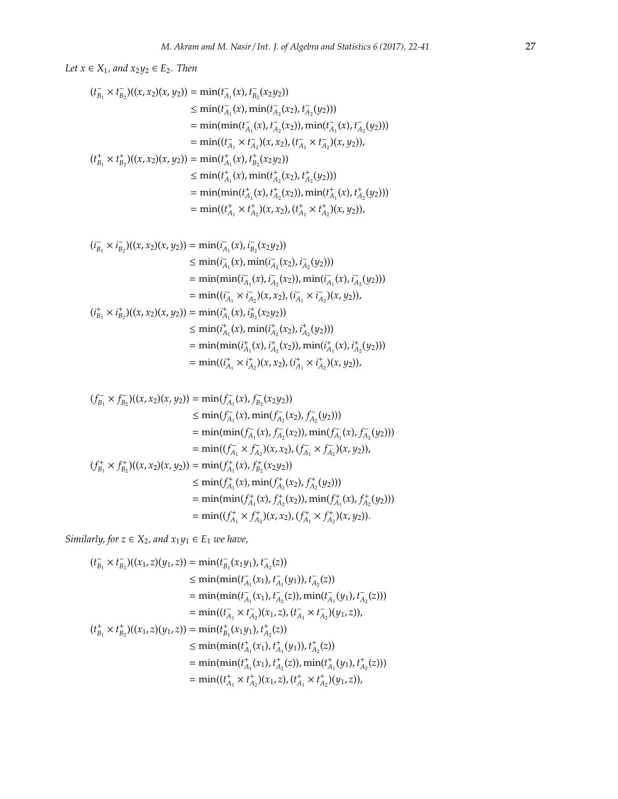*Let*  $x \in X_1$ *, and*  $x_2y_2 \in E_2$ *. Then* 

$$
(t_{B_1}^- \times t_{B_2}^-)((x, x_2)(x, y_2)) = \min(t_{A_1}^-(x), t_{B_2}^-(x_2y_2))
$$
  
\n
$$
\leq \min(t_{A_1}^-(x), \min(t_{A_2}^-(x_2), t_{A_2}^-(y_2)))
$$
  
\n
$$
= \min(\min(t_{A_1}^-(x), t_{A_2}^-(x_2)), \min(t_{A_1}^-(x), t_{A_2}^-(y_2)))
$$
  
\n
$$
= \min((t_{A_1}^-\times t_{A_2}^+)(x, x_2), (t_{A_1}^-\times t_{A_2}^-(x, y_2)),
$$
  
\n
$$
(t_{B_1}^+\times t_{B_2}^+)((x, x_2)(x, y_2)) = \min(t_{A_1}^+(x), t_{B_2}^+(x_2y_2))
$$
  
\n
$$
\leq \min(t_{A_1}^+(x), \min(t_{A_2}^+(x_2), t_{A_2}^+(y_2)))
$$
  
\n
$$
= \min(\min(t_{A_1}^+(x), t_{A_2}^+(x_2)), \min(t_{A_1}^+(x), t_{A_2}^+(y_2)))
$$
  
\n
$$
= \min((t_{A_1}^+\times t_{A_2}^+)(x, x_2), (t_{A_1}^+\times t_{A_2}^+)(x, y_2)),
$$

$$
(i_{B_1}^-\times i_{B_2}^-)((x,x_2)(x,y_2)) = \min(i_{A_1}^-(x), i_{B_2}^-(x_2y_2))
$$
  
\n
$$
\leq \min(i_{A_1}^-(x), \min(i_{A_2}^-(x_2), i_{A_2}^-(y_2)))
$$
  
\n
$$
= \min(\min(i_{A_1}^-(x), i_{A_2}^-(x_2)), \min(i_{A_1}^-(x), i_{A_2}^-(y_2)))
$$
  
\n
$$
= \min((i_{A_1}^-\times i_{A_2}^*)(x,x_2), (i_{A_1}^-\times i_{A_2}^*)(x,y_2)),
$$
  
\n
$$
(i_{B_1}^+\times i_{B_2}^*)(x,x_2)(x,y_2)) = \min(i_{A_1}^+(x), i_{B_2}^+(x_2y_2))
$$
  
\n
$$
\leq \min(i_{A_1}^+(x), \min(i_{A_2}^+(x_2), i_{A_2}^+(y_2)))
$$
  
\n
$$
= \min(\min(i_{A_1}^+(x), i_{A_2}^+(x_2)), \min(i_{A_1}^+(x), i_{A_2}^+(y_2)))
$$
  
\n
$$
= \min((i_{A_1}^+\times i_{A_2}^+)(x,x_2), (i_{A_1}^+\times i_{A_2}^+)(x,y_2)),
$$

$$
(f_{B_1}^-\times f_{B_2}^-)((x,x_2)(x,y_2)) = \min(f_{A_1}^-(x), f_{B_2}^-(x_2y_2))
$$
  
\n
$$
\leq \min(f_{A_1}^-(x), \min(f_{A_2}^-(x_2), f_{A_2}^-(y_2)))
$$
  
\n
$$
= \min(\min(f_{A_1}^-(x), f_{A_2}^-(x_2)), \min(f_{A_1}^-(x), f_{A_2}^-(y_2)))
$$
  
\n
$$
= \min((f_{A_1}^-\times f_{A_2}^-(x,x_2), (f_{A_1}^-\times f_{A_2}^-(x,y_2)),
$$
  
\n
$$
(f_{B_1}^+\times f_{B_2}^+)((x,x_2)(x,y_2)) = \min(f_{A_1}^+(x), f_{B_2}^+(x_2y_2))
$$
  
\n
$$
\leq \min(f_{A_1}^+(x), \min(f_{A_2}^+(x_2), f_{A_2}^+(y_2)))
$$
  
\n
$$
= \min(\min(f_{A_1}^+(x), f_{A_2}^+(x_2)), \min(f_{A_1}^+(x), f_{A_2}^+(y_2)))
$$
  
\n
$$
= \min((f_{A_1}^+\times f_{A_2}^+)(x,x_2), (f_{A_1}^+\times f_{A_2}^+)(x,y_2)).
$$

*Similarly, for*  $z \in X_2$ *, and*  $x_1y_1 \in E_1$  *we have,* 

$$
(t_{B_1}^-\times t_{B_2}^-)((x_1,z)(y_1,z)) = \min(t_{B_1}^-(x_1y_1), t_{A_2}^-(z))
$$
  
\n
$$
\leq \min(\min(t_{A_1}^-(x_1), t_{A_1}^-(y_1)), t_{A_2}^-(z))
$$
  
\n
$$
= \min(\min(t_{A_1}^-(x_1), t_{A_2}^-(z)), \min(t_{A_1}^-(y_1), t_{A_2}^-(z)))
$$
  
\n
$$
= \min((t_{A_1}^-\times t_{A_2}^+)(x_1,z), (t_{A_1}^-\times t_{A_2}^+)(y_1,z)),
$$
  
\n
$$
(t_{B_1}^+\times t_{B_2}^+)((x_1,z)(y_1,z)) = \min(t_{B_1}^+(x_1y_1), t_{A_2}^+(z))
$$
  
\n
$$
\leq \min(\min(t_{A_1}^+(x_1), t_{A_1}^+(y_1)), t_{A_2}^+(z))
$$
  
\n
$$
= \min(\min(t_{A_1}^+(x_1), t_{A_2}^+(z)), \min(t_{A_1}^+(y_1), t_{A_2}^+(z)))
$$
  
\n
$$
= \min((t_{A_1}^+\times t_{A_2}^+)(x_1,z), (t_{A_1}^+\times t_{A_2}^+)(y_1,z)),
$$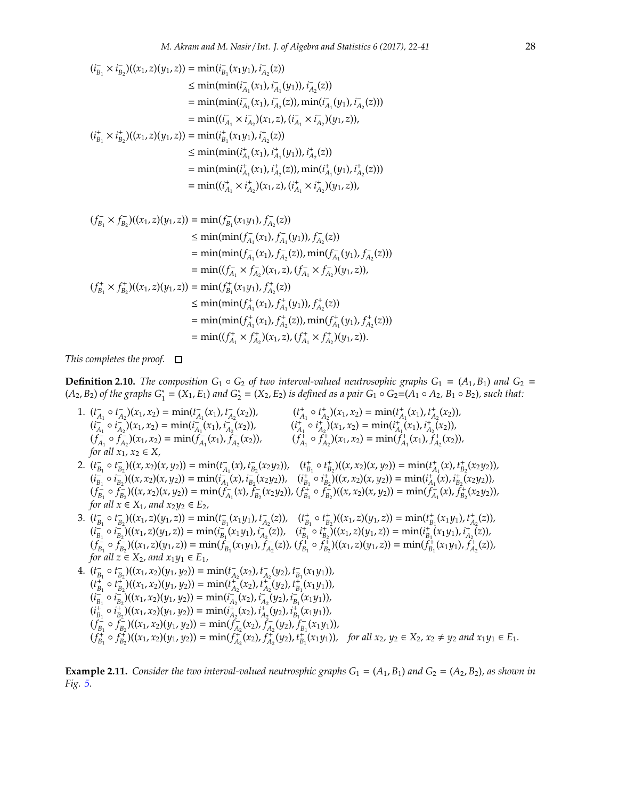$$
(i_{B_1}^-\times i_{B_2}^-)((x_1,z)(y_1,z)) = \min(i_{B_1}^-(x_1y_1), i_{A_2}^-(z))
$$
  
\n
$$
\leq \min(\min(i_{A_1}^-(x_1), i_{A_1}^-(y_1)), i_{A_2}^-(z))
$$
  
\n
$$
= \min(\min(i_{A_1}^-(x_1), i_{A_2}^-(z)), \min(i_{A_1}^-(y_1), i_{A_2}^-(z)))
$$
  
\n
$$
= \min((i_{A_1}^-\times i_{A_2}^*)(x_1,z), (i_{A_1}^-\times i_{A_2}^*)(y_1,z)),
$$
  
\n
$$
(i_{B_1}^+\times i_{B_2}^+)((x_1,z)(y_1,z)) = \min(i_{B_1}^+(x_1y_1), i_{A_2}^+(z))
$$
  
\n
$$
\leq \min(\min(i_{A_1}^+(x_1), i_{A_1}^+(y_1)), i_{A_2}^+(z))
$$
  
\n
$$
= \min(\min(i_{A_1}^+(x_1), i_{A_2}^+(z)), \min(i_{A_1}^+(y_1), i_{A_2}^+(z)))
$$
  
\n
$$
= \min((i_{A_1}^+\times i_{A_2}^+)(x_1,z), (i_{A_1}^+\times i_{A_2}^+)(y_1,z)),
$$

$$
(f_{B_1}^{-} \times f_{B_2}^{-})((x_1, z)(y_1, z)) = \min(f_{B_1}^{-}(x_1y_1), f_{A_2}^{-}(z))
$$
  
\n
$$
\leq \min(\min(f_{A_1}^{-}(x_1), f_{A_1}^{-}(y_1)), f_{A_2}^{-}(z))
$$
  
\n
$$
= \min(\min(f_{A_1}^{-}(x_1), f_{A_2}^{-}(z)), \min(f_{A_1}^{-}(y_1), f_{A_2}^{-}(z)))
$$
  
\n
$$
= \min((f_{A_1}^{-} \times f_{A_2}^{-})(x_1, z), (f_{A_1}^{-} \times f_{A_2}^{-})(y_1, z)),
$$
  
\n
$$
(f_{B_1}^{+} \times f_{B_2}^{+})( (x_1, z)(y_1, z)) = \min(f_{B_1}^{+}(x_1y_1), f_{A_2}^{+}(z))
$$
  
\n
$$
\leq \min(\min(f_{A_1}^{+}(x_1), f_{A_1}^{+}(y_1)), f_{A_2}^{+}(z))
$$
  
\n
$$
= \min(\min(f_{A_1}^{+}(x_1), f_{A_2}^{+}(z)), \min(f_{A_1}^{+}(y_1), f_{A_2}^{+}(z)))
$$
  
\n
$$
= \min((f_{A_1}^{+} \times f_{A_2}^{+})(x_1, z), (f_{A_1}^{+} \times f_{A_2}^{+})(y_1, z)).
$$

*This completes the proof.*

**Definition 2.10.** *The composition*  $G_1 \circ G_2$  *of two interval-valued neutrosophic graphs*  $G_1 = (A_1, B_1)$  *and*  $G_2 =$  $(A_2, B_2)$  *of the graphs*  $G_1^* = (X_1, E_1)$  *and*  $G_2^* = (X_2, E_2)$  *is defined as a pair*  $G_1 \circ G_2 = (A_1 \circ A_2, B_1 \circ B_2)$ *, such that:* 

- 1.  $(t_{A_1} \circ t_{A_2}^{-}) (x_1, x_2) = \min(t_{A_1}^{-} (x_1), t_{A_2}^{-} (x_2)),$   $(t_{A_1}^{+} \circ t_{A_2}^{+}) (x_1, x_2) = \min(t_{A_1}^{+} (x_1), t_{A_2}^{+} (x_2)),$  $(i_{A_1}^{-1} \circ i_{A_2}^{-1})(x_1, x_2) = \min(i_{A_1}^{-1}(x_1), i_{A_2}^{-1}(x_2)),$   $(i_{A_1}^{+} \circ i_{A_2}^{+}) (x_1, x_2) = \min(i_{A_1}^{+}(x_1), i_{A_2}^{+}(x_2)),$  $(f_{A_1}^{\dagger} \circ f_{A_2}^{\dagger})(x_1, x_2) = \min(f_{A_1}^{\dagger}(x_1), f_{A_2}^{\dagger}(x_2)),$   $(f_{A_1}^{\dagger} \circ f_{A_2}^{\dagger})(x_1, x_2) = \min(f_{A_1}^{\dagger}(x_1), f_{A_2}^{\dagger}(x_2)),$ *for all*  $x_1, x_2 \in X$ ,
- 2.  $(t_{B_1}^-\circ t_{B_2}^-\prime)((x,x_2)(x,y_2)) = \min(t_{A_1}^-(x), t_{B_2}^-(x_2y_2)), \quad (t_{B_1}^+\circ t_{B_2}^+\prime)((x,x_2)(x,y_2)) = \min(t_{A_1}^+(x), t_{B_2}^+(x_2y_2)),$  $(i_{B_1}^-, \circ i_{B_2}^-)((x, x_2)(x, y_2)) = \min(i_{A_1}^-(x), i_{B_2}^-(x_2y_2)), (i_{B_1}^+ \circ i_{B_2}^+)(x, x_2)(x, y_2)) = \min(i_{A_1}^+(x), i_{B_2}^+(x_2y_2)),$  $(f_{B_1}^{\dagger} \circ f_{B_2}^{\dagger})((x, x_2)(x, y_2)) = \min(f_{A_1}^{\dagger}(x), f_{B_2}^{\dagger}(x_2y_2)), (f_{B_1}^{\dagger} \circ f_{B_2}^{\dagger})((x, x_2)(x, y_2)) = \min(f_{A_1}^{\dagger}(x), f_{B_2}^{\dagger}(x_2y_2)),$ *for all*  $x \in X_1$ *, and*  $x_2y_2 \in E_2$ *,*
- 3.  $(t_{B_1}^-\circ t_{B_2}^-\right)((x_1,z)(y_1,z)) = \min(t_{B_1}^-(x_1y_1), t_{A_2}^-(z)), \quad (t_{B_1}^+\circ t_{B_2}^+\right)((x_1,z)(y_1,z)) = \min(t_{B_1}^+(x_1y_1), t_{A_2}^+(z)),$  $(i_{B_1}^-, \circ i_{B_2}^-)((x_1, z)(y_1, z)) = \min(i_{B_1}^-, (x_1y_1), i_{A_2}^-, (z)), (i_{B_1}^+, \circ i_{B_2}^+)((x_1, z)(y_1, z)) = \min(i_{B_1}^+, (x_1y_1), i_{A_2}^+(z)),$  $(f_{B_1}^{\dagger} \circ f_{B_2}^{\dagger})((x_1, z)(y_1, z)) = \min(f_{B_1}^{\dagger}(x_1y_1), f_{A_2}^{\dagger}(z)), (f_{B_1}^{\dagger} \circ f_{B_2}^{\dagger})((x_1, z)(y_1, z)) = \min(f_{B_1}^{\dagger}(x_1y_1), f_{A_2}^{\dagger}(z)),$ *for all*  $z \in X_2$ *, and*  $x_1y_1 \in E_1$ *,*

4. 
$$
(t_{B_1}^-\circ t_{B_2}^-\prime)((x_1, x_2)(y_1, y_2)) = \min(t_{A_2}^-(x_2), t_{A_2}^-(y_2), t_{B_1}^-(x_1y_1)),
$$
  
\n $(t_{B_1}^+\circ t_{B_2}^+)((x_1, x_2)(y_1, y_2)) = \min(t_{A_2}^+(x_2), t_{A_2}^+(y_2), t_{B_1}^+(x_1y_1)),$   
\n $(i_{B_1}^-\circ i_{B_2}^-\prime)((x_1, x_2)(y_1, y_2)) = \min(i_{A_2}^-(x_2), i_{A_2}^-(y_2), i_{B_1}^-(x_1y_1)),$   
\n $(i_{B_1}^+\circ i_{B_2}^+)((x_1, x_2)(y_1, y_2)) = \min(t_{A_2}^+(x_2), t_{A_2}^+(y_2), t_{B_1}^+(x_1y_1)),$   
\n $(f_{B_1}^-\circ f_{B_2}^-\prime)((x_1, x_2)(y_1, y_2)) = \min(f_{A_2}^-(x_2), f_{A_2}^-(y_2), f_{B_1}^-(x_1y_1)),$   
\n $(f_{B_1}^+\circ f_{B_2}^+)((x_1, x_2)(y_1, y_2)) = \min(f_{A_2}^+(x_2), f_{A_2}^+(y_2), t_{B_1}^+(x_1y_1)),$  for all  $x_2, y_2 \in X_2, x_2 \neq y_2$  and  $x_1y_1 \in E_1$ .

**Example 2.11.** Consider the two interval-valued neutrosphic graphs  $G_1 = (A_1, B_1)$  and  $G_2 = (A_2, B_2)$ , as shown in *Fig. [5.](#page-7-0)*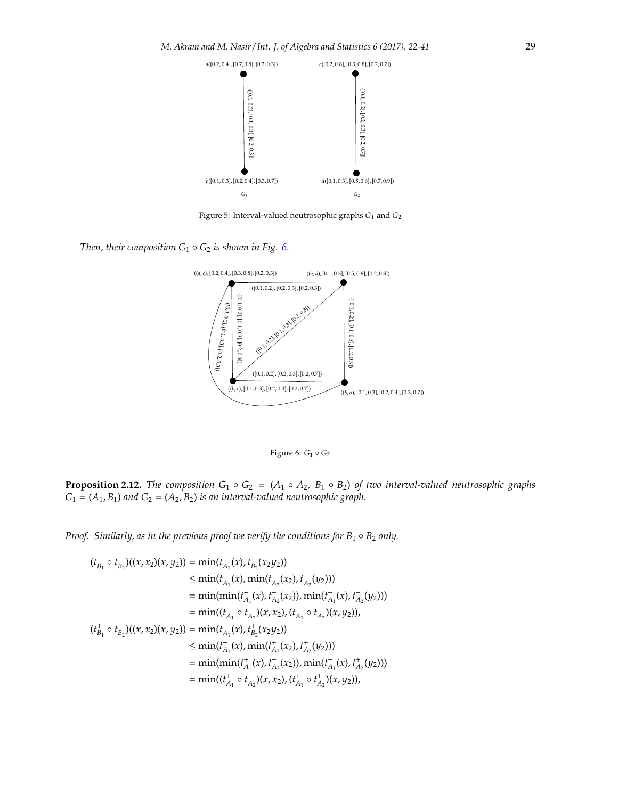

<span id="page-7-0"></span>Figure 5: Interval-valued neutrosophic graphs *G*<sup>1</sup> and *G*<sup>2</sup>

*Then, their composition*  $G_1 \circ G_2$  *is shown in Fig. [6.](#page-7-1)* 



<span id="page-7-1"></span>Figure 6: *G*<sup>1</sup> ◦ *G*<sup>2</sup>

**Proposition 2.12.** *The composition*  $G_1 \circ G_2 = (A_1 \circ A_2, B_1 \circ B_2)$  *of two interval-valued neutrosophic graphs*  $G_1 = (A_1, B_1)$  *and*  $G_2 = (A_2, B_2)$  *is an interval-valued neutrosophic graph.* 

*Proof. Similarly, as in the previous proof we verify the conditions for*  $B_1 \circ B_2$  *only.* 

$$
(t_{B_1}^{-} \circ t_{B_2}^{-})((x, x_2)(x, y_2)) = \min(t_{A_1}^{-}(x), t_{B_2}^{-}(x_2y_2))
$$
  
\n
$$
\leq \min(t_{A_1}^{-}(x), \min(t_{A_2}^{-}(x_2), t_{A_2}^{-}(y_2)))
$$
  
\n
$$
= \min(\min(t_{A_1}^{-}(x), t_{A_2}^{-}(x_2)), \min(t_{A_1}^{-}(x), t_{A_2}^{-}(y_2)))
$$
  
\n
$$
= \min((t_{A_1}^{-} \circ t_{A_2}^{-})(x, x_2), (t_{A_1}^{-} \circ t_{A_2}^{-})(x, y_2)),
$$
  
\n
$$
(t_{B_1}^{+} \circ t_{B_2}^{+})( (x, x_2)(x, y_2)) = \min(t_{A_1}^{+}(x), t_{B_2}^{+}(x_2y_2))
$$
  
\n
$$
\leq \min(t_{A_1}^{+}(x), \min(t_{A_2}^{+}(x_2), t_{A_2}^{+}(y_2)))
$$
  
\n
$$
= \min(\min(t_{A_1}^{+}(x), t_{A_2}^{+}(x_2)), \min(t_{A_1}^{+}(x), t_{A_2}^{+}(y_2)))
$$
  
\n
$$
= \min((t_{A_1}^{+} \circ t_{A_2}^{+})(x, x_2), (t_{A_1}^{+} \circ t_{A_2}^{+})(x, y_2)),
$$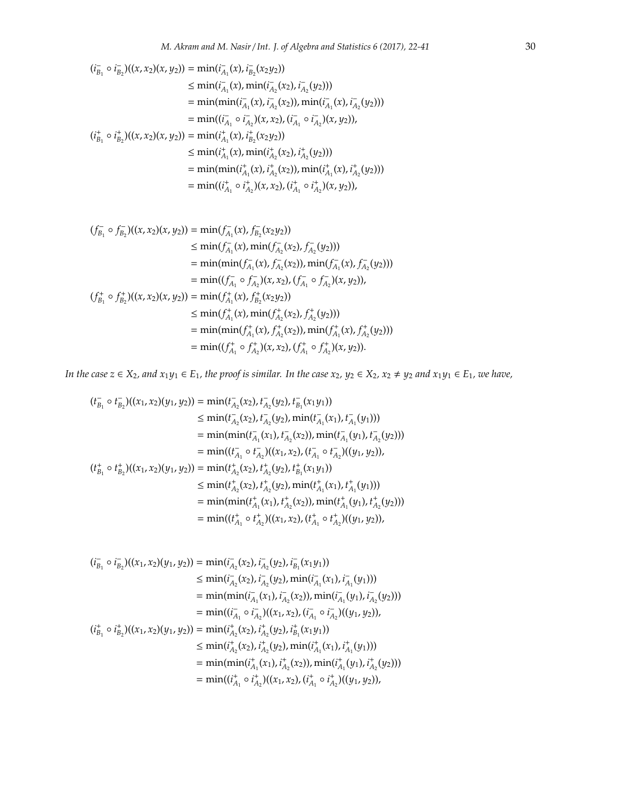$$
(i_{B_1} \circ i_{B_2}^{\dagger})((x, x_2)(x, y_2)) = \min(i_{A_1}^{\dagger}(x), i_{B_2}^{\dagger}(x_2y_2))
$$
  
\n
$$
\leq \min(i_{A_1}^{\dagger}(x), \min(i_{A_2}^{\dagger}(x_2), i_{A_2}^{\dagger}(y_2)))
$$
  
\n
$$
= \min(\min(i_{A_1}^{\dagger}(x), i_{A_2}^{\dagger}(x_2)), \min(i_{A_1}^{\dagger}(x), i_{A_2}^{\dagger}(y_2)))
$$
  
\n
$$
= \min((i_{A_1}^{\dagger} \circ i_{A_2}^{\dagger})(x, x_2), (i_{A_1}^{\dagger} \circ i_{A_2}^{\dagger})(x, y_2)),
$$
  
\n
$$
(i_{B_1}^{\dagger} \circ i_{B_2}^{\dagger})((x, x_2)(x, y_2)) = \min(i_{A_1}^{\dagger}(x), i_{B_2}^{\dagger}(x_2y_2))
$$
  
\n
$$
\leq \min(i_{A_1}^{\dagger}(x), \min(i_{A_2}^{\dagger}(x_2), i_{A_2}^{\dagger}(y_2)))
$$
  
\n
$$
= \min(\min(i_{A_1}^{\dagger}(x), i_{A_2}^{\dagger}(x_2)), \min(i_{A_1}^{\dagger}(x), i_{A_2}^{\dagger}(y_2)))
$$
  
\n
$$
= \min((i_{A_1}^{\dagger} \circ i_{A_2}^{\dagger})(x, x_2), (i_{A_1}^{\dagger} \circ i_{A_2}^{\dagger})(x, y_2)),
$$

$$
(f_{B_1}^-\circ f_{B_2}^-)((x, x_2)(x, y_2)) = \min(f_{A_1}^-(x), f_{B_2}^-(x_2y_2))
$$
  
\n
$$
\leq \min(f_{A_1}^-(x), \min(f_{A_2}^-(x_2), f_{A_2}^-(y_2)))
$$
  
\n
$$
= \min(\min(f_{A_1}^-(x), f_{A_2}^-(x_2)), \min(f_{A_1}^-(x), f_{A_2}^-(y_2)))
$$
  
\n
$$
= \min((f_{A_1}^-\circ f_{A_2}^+)(x, x_2), (f_{A_1}^-\circ f_{A_2}^-(x, y_2)),
$$
  
\n
$$
(f_{B_1}^+\circ f_{B_2}^+)((x, x_2)(x, y_2)) = \min(f_{A_1}^+(x), f_{B_2}^+(x_2y_2))
$$
  
\n
$$
\leq \min(f_{A_1}^+(x), \min(f_{A_2}^+(x_2), f_{A_2}^+(y_2)))
$$
  
\n
$$
= \min(\min(f_{A_1}^+(x), f_{A_2}^+(x_2)), \min(f_{A_1}^+(x), f_{A_2}^+(y_2)))
$$
  
\n
$$
= \min((f_{A_1}^+\circ f_{A_2}^+)(x, x_2), (f_{A_1}^+\circ f_{A_2}^+)(x, y_2)).
$$

*In the case*  $z \in X_2$ *, and*  $x_1y_1 \in E_1$ *, the proof is similar. In the case*  $x_2$ *,*  $y_2 \in X_2$ *,*  $x_2 \neq y_2$  *and*  $x_1y_1 \in E_1$ *, we have,* 

$$
(t_{B_1}^-\circ t_{B_2}^-\prime)((x_1,x_2)(y_1,y_2)) = \min(t_{A_2}^-(x_2), t_{A_2}^-(y_2), t_{B_1}^-(x_1y_1))
$$
  
\n
$$
\leq \min(t_{A_2}^-(x_2), t_{A_2}^-(y_2), \min(t_{A_1}^-(x_1), t_{A_1}^-(y_1)))
$$
  
\n
$$
= \min(\min(t_{A_1}^-(x_1), t_{A_2}^-(x_2)), \min(t_{A_1}^-(y_1), t_{A_2}^-(y_2)))
$$
  
\n
$$
= \min((t_{A_1}^-\circ t_{A_2}^-\prime)((x_1,x_2), (t_{A_1}^-\circ t_{A_2}^-\prime)((y_1,y_2)),
$$
  
\n
$$
(t_{B_1}^+\circ t_{B_2}^+)((x_1,x_2)(y_1,y_2)) = \min(t_{A_2}^+(x_2), t_{A_2}^+(y_2), t_{B_1}^+(x_1y_1))
$$
  
\n
$$
\leq \min(t_{A_2}^+(x_2), t_{A_2}^+(y_2), \min(t_{A_1}^+(x_1), t_{A_1}^+(y_1)),
$$
  
\n
$$
= \min(\min(t_{A_1}^+(x_1), t_{A_2}^+(x_2)), \min(t_{A_1}^+(y_1), t_{A_2}^+(y_2)))
$$
  
\n
$$
= \min((t_{A_1}^+\circ t_{A_2}^+)((x_1,x_2), (t_{A_1}^+\circ t_{A_2}^+)((y_1,y_2)),
$$

$$
(i_{B_1}^-\circ i_{B_2}^-)((x_1, x_2)(y_1, y_2)) = \min(i_{A_2}^-(x_2), i_{A_2}^-(y_2), i_{B_1}^-(x_1y_1))
$$
  
\n
$$
\leq \min(i_{A_2}^-(x_2), i_{A_2}^-(y_2), \min(i_{A_1}^-(x_1), i_{A_1}^-(y_1)))
$$
  
\n
$$
= \min(\min(i_{A_1}^-(x_1), i_{A_2}^-(x_2)), \min(i_{A_1}^-(y_1), i_{A_2}^-(y_2)))
$$
  
\n
$$
= \min((i_{A_1}^-\circ i_{A_2}^+)((x_1, x_2), (i_{A_1}^-\circ i_{A_2}^+)((y_1, y_2)),
$$
  
\n
$$
(i_{B_1}^+\circ i_{B_2}^+)((x_1, x_2)(y_1, y_2)) = \min(i_{A_2}^+(x_2), i_{A_2}^+(y_2), i_{B_1}^+(x_1y_1))
$$
  
\n
$$
\leq \min(i_{A_2}^+(x_2), i_{A_2}^+(y_2), \min(i_{A_1}^+(x_1), i_{A_1}^+(y_1)),
$$
  
\n
$$
= \min(\min(i_{A_1}^+(x_1), i_{A_2}^+(x_2)), \min(i_{A_1}^+(y_1), i_{A_2}^+(y_2)))
$$
  
\n
$$
= \min((i_{A_1}^+\circ i_{A_2}^+)((x_1, x_2), (i_{A_1}^+\circ i_{A_2}^+)((y_1, y_2)),
$$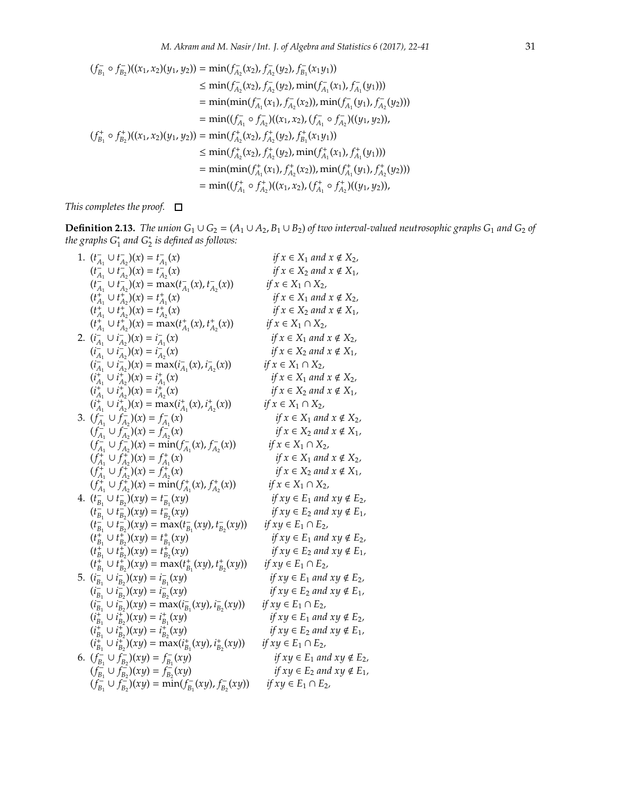$$
(f_{B_1}^-\circ f_{B_2}^-)((x_1, x_2)(y_1, y_2)) = \min(f_{A_2}^-(x_2), f_{A_2}^-(y_2), f_{B_1}^-(x_1y_1))
$$
  
\n
$$
\leq \min(f_{A_2}^-(x_2), f_{A_2}^-(y_2), \min(f_{A_1}^-(x_1), f_{A_1}^-(y_1)))
$$
  
\n
$$
= \min(\min(f_{A_1}^-(x_1), f_{A_2}^-(x_2)), \min(f_{A_1}^-(y_1), f_{A_2}^-(y_2)))
$$
  
\n
$$
= \min((f_{A_1}^-\circ f_{A_2}^+)((x_1, x_2), (f_{A_1}^-\circ f_{A_2}^-)((y_1, y_2)),
$$
  
\n
$$
(f_{B_1}^+\circ f_{B_2}^+)((x_1, x_2)(y_1, y_2)) = \min(f_{A_2}^+(x_2), f_{A_2}^+(y_2), f_{B_1}^+(x_1y_1))
$$
  
\n
$$
\leq \min(f_{A_2}^+(x_2), f_{A_2}^+(y_2), \min(f_{A_1}^+(x_1), f_{A_1}^+(y_1), f_{A_2}^+(y_2)))
$$
  
\n
$$
= \min(\min(f_{A_1}^+(x_1), f_{A_2}^+(x_2)), \min(f_{A_1}^+(y_1), f_{A_2}^+(y_2)))
$$
  
\n
$$
= \min((f_{A_1}^+\circ f_{A_2}^+)((x_1, x_2), (f_{A_1}^+\circ f_{A_2}^+)((y_1, y_2)),
$$

*This completes the proof.*

**Definition 2.13.** *The union*  $G_1 \cup G_2 = (A_1 \cup A_2, B_1 \cup B_2)$  *of two interval-valued neutrosophic graphs*  $G_1$  *and*  $G_2$  *of the graphs G*<sup>∗</sup> 1 *and G*<sup>∗</sup> 2 *is defined as follows:*

| 1. $(t_{A_1}^{-} \cup t_{A_2}^{-})(x) = t_{A_1}^{-}(x)$                                            | if $x \in X_1$ and $x \notin X_2$ ,   |
|----------------------------------------------------------------------------------------------------|---------------------------------------|
| $(t_{A_1}^{-} \cup t_{A_2}^{-})(x) = t_{A_2}^{-}(x)$                                               | if $x \in X_2$ and $x \notin X_1$ ,   |
| $(t_{A_1}^{-1} \cup t_{A_2}^{-1})(x) = \max(t_{A_1}^{-1}(x), t_{A_2}^{-1}(x))$                     | $if x \in X_1 \cap X_2$               |
| $(t_{A_1}^+ \cup t_{A_2}^+)(x) = t_{A_1}^+(x)$                                                     | if $x \in X_1$ and $x \notin X_2$ ,   |
| $(t_{A_1}^+ \cup t_{A_2}^+)(x) = t_{A_2}^+(x)$                                                     | if $x \in X_2$ and $x \notin X_1$ ,   |
| $(t_{A_1}^+ \cup t_{A_2}^+)(x) = \max(t_{A_1}^+(x), t_{A_2}^+(x))$                                 | if $x \in X_1 \cap X_2$ ,             |
| 2. $(i_{A_1}^{-} \cup i_{A_2}^{-})(x) = i_{A_1}^{-}(x)$                                            | if $x \in X_1$ and $x \notin X_2$ ,   |
| $(i_{A_1}^{-} \cup i_{A_2}^{-})(x) = i_{A_2}^{-}(x)$                                               | if $x \in X_2$ and $x \notin X_1$ ,   |
| $(i_{A_1}^{-} \cup i_{A_2}^{-})(x) = \max(i_{A_1}^{-}(x), i_{A_2}^{-}(x))$                         | if $x \in X_1 \cap X_2$ ,             |
| $(i_{A_1}^+ \cup i_{A_2}^+)(x) = i_{A_1}^+(x)$                                                     | if $x \in X_1$ and $x \notin X_2$ ,   |
| $(i_{A_1}^{\dagger} \cup i_{A_2}^{\dagger})(x) = i_{A_2}^{\dagger}(x)$                             | if $x \in X_2$ and $x \notin X_1$ ,   |
| $(i_{A_1}^{\dagger} \cup i_{A_2}^{\dagger})(x) = \max(i_{A_1}^{\dagger}(x), i_{A_2}^{\dagger}(x))$ | if $x \in X_1 \cap X_2$ ,             |
| 3. $(f_{A_1}^{-} \cup f_{A_2}^{-})(x) = f_{A_1}^{-}(x)$                                            | if $x \in X_1$ and $x \notin X_2$ ,   |
| $(f_{A_1}^{-} \cup f_{A_2}^{-})(x) = f_{A_2}^{-}(x)$                                               | if $x \in X_2$ and $x \notin X_1$ ,   |
| $(f_{A_1}^{-} \cup f_{A_2}^{-})(x) = \min(f_{A_1}^{-}(x), f_{A_2}^{-}(x))$                         | if $x \in X_1 \cap X_2$ ,             |
| $(f_{A_1}^+ \cup f_{A_2}^+)(x) = f_{A_1}^+(x)$                                                     | if $x \in X_1$ and $x \notin X_2$ ,   |
| $(f_{A_1}^+ \cup f_{A_2}^+)(x) = f_{A_2}^+(x)$                                                     | if $x \in X_2$ and $x \notin X_1$ ,   |
| $(f_{A_1}^+ \cup f_{A_2}^+)(x) = \min(f_{A_1}^+(x), f_{A_2}^+(x))$                                 | if $x \in X_1 \cap X_2$ ,             |
| 4. $(t_{B_1}^- \cup t_{B_2}^-)(xy) = t_{B_1}^-(xy)$                                                | if $xy \in E_1$ and $xy \notin E_2$ , |
| $(t_{B_1}^- \cup t_{B_2}^-)(xy) = t_{B_2}^-(xy)$                                                   | if $xy \in E_2$ and $xy \notin E_1$ , |
| $(t_{B_1}^{-} \cup t_{B_2}^{-})(xy) = \max(t_{B_1}^{-}(xy), t_{B_2}^{-}(xy))$                      | if $xy \in E_1 \cap E_2$ ,            |
| $(t_{B_1}^+ \cup t_{B_2}^+)(xy) = t_{B_1}^+(xy)$                                                   | if $xy \in E_1$ and $xy \notin E_2$ , |
| $(t_{B_1}^+ \cup t_{B_2}^+)(xy) = t_{B_2}^+(xy)$                                                   | if $xy \in E_2$ and $xy \notin E_1$ , |
| $(t_{B_1}^+ \cup t_{B_2}^+)(xy) = \max(t_{B_1}^+(xy), t_{B_2}^+(xy))$                              | if $xy \in E_1 \cap E_2$ ,            |
| 5. $(i_{B_1}^- \cup i_{B_2}^-)(xy) = i_{B_1}^-(xy)$                                                | if $xy \in E_1$ and $xy \notin E_2$ , |
| $(i_{B_1}^- \cup i_{B_2}^-)(xy) = i_{B_2}^-(xy)$                                                   | if $xy \in E_2$ and $xy \notin E_1$ , |
| $(i_{B_1}^-\cup i_{B_2}^-)(xy) = \max(i_{B_1}^-(xy), i_{B_2}^-(xy))$                               | if $xy \in E_1 \cap E_2$ ,            |
| $(i_{B_1}^+ \cup i_{B_2}^+)(xy) = i_{B_1}^+(xy)$                                                   | if $xy \in E_1$ and $xy \notin E_2$ , |
| $(i_{B_1}^{\dagger} \cup i_{B_2}^{\dagger})(xy) = i_{B_2}^{\dagger}(xy)$                           | if $xy \in E_2$ and $xy \notin E_1$ , |
| $(i_{B_1}^+ \cup i_{B_2}^+)(xy) = \max(i_{B_1}^+(xy), i_{B_2}^+(xy))$                              | if $xy \in E_1 \cap E_2$ ,            |
| 6. $(f_{B_1}^- \cup f_{B_2}^-)(xy) = f_{B_1}^-(xy)$                                                | if $xy \in E_1$ and $xy \notin E_2$ , |
| $(f_{B_1}^{-} \cup f_{B_2}^{-})(xy) = f_{B_2}^{-}(xy)$                                             | if $xy \in E_2$ and $xy \notin E_1$ , |
| $(f_{B_1}^- \cup f_{B_2}^-)(xy) = \min(f_{B_1}^-(xy), f_{B_2}^-(xy))$                              | if $xy \in E_1 \cap E_2$ ,            |
|                                                                                                    |                                       |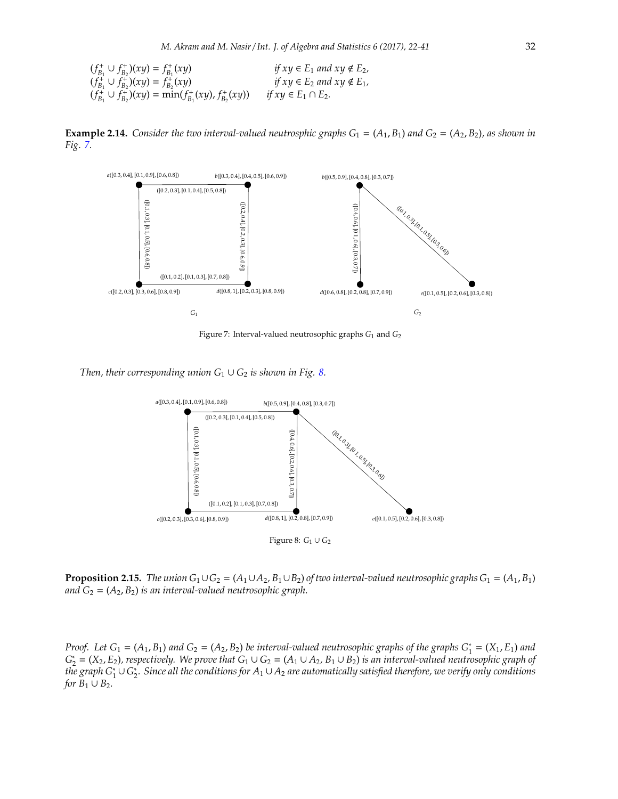$(f_{B_1}^+ \cup f_{B_2}^+)(xy) = f_{B_1}^+(xy)$  *if*  $xy \in E_1$  *and*  $xy \notin E_2$ ,  $(f_{B_1}^{\dagger} \cup f_{B_2}^{\dagger})(xy) = f_{B_2}^{\dagger}(xy)$  *if*  $xy \in E_2$  *and*  $xy \notin E_1$ *,*  $(f_{B_1}^{\dagger} \cup f_{B_2}^{\dagger})(xy) = \min(f_{B_1}^{\dagger}(xy), f_{B_2}^{\dagger}(xy))$  *if xy* ∈ *E*<sub>1</sub> ∩ *E*<sub>2</sub>*.* 

**Example 2.14.** *Consider the two interval-valued neutrosphic graphs*  $G_1 = (A_1, B_1)$  *and*  $G_2 = (A_2, B_2)$ *, as shown in Fig. [7.](#page-10-0)*



<span id="page-10-0"></span>Figure 7: Interval-valued neutrosophic graphs *G*<sup>1</sup> and *G*<sup>2</sup>

*Then, their corresponding union*  $G_1 \cup G_2$  *is shown in Fig. [8.](#page-10-1)* 

<span id="page-10-1"></span>

<span id="page-10-2"></span>**Proposition 2.15.** *The union*  $G_1 \cup G_2 = (A_1 \cup A_2, B_1 \cup B_2)$  *of two interval-valued neutrosophic graphs*  $G_1 = (A_1, B_1)$ *and*  $G_2 = (A_2, B_2)$  *is an interval-valued neutrosophic graph.* 

*Proof.* Let  $G_1 = (A_1, B_1)$  and  $G_2 = (A_2, B_2)$  be interval-valued neutrosophic graphs of the graphs  $G_1^* = (X_1, E_1)$  and  $G_2^* = (X_2, E_2)$ , respectively. We prove that  $G_1 \cup G_2 = (A_1 \cup A_2, B_1 \cup B_2)$  *is an interval-valued neutrosophic graph of the graph G*<sup>∗</sup> 1 ∪ *G* ∗ 2 *. Since all the conditions for A*<sup>1</sup> ∪ *A*<sup>2</sup> *are automatically satisfied therefore, we verify only conditions for*  $B_1 \cup B_2$ *.*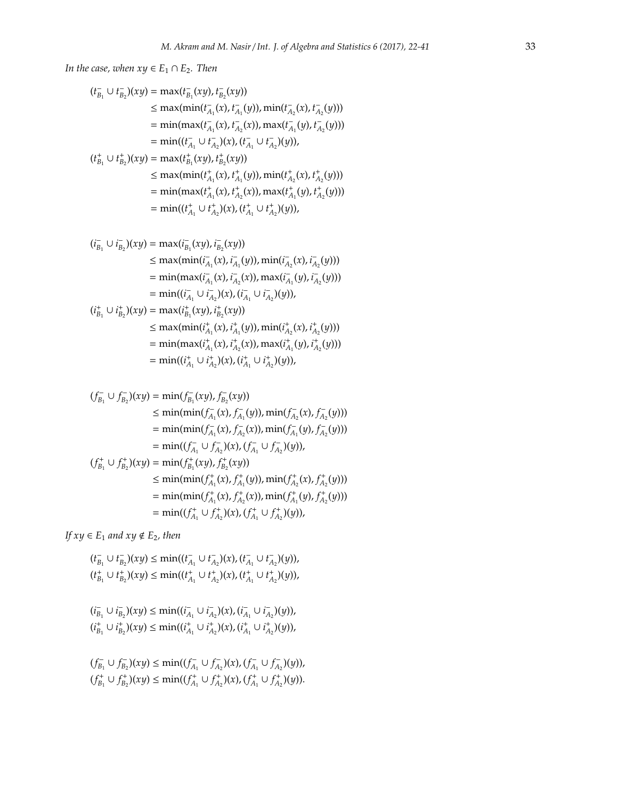*In the case, when*  $xy \in E_1 \cap E_2$ *. Then* 

$$
(t_{B_1}^-\cup t_{B_2}^-()xy) = \max(t_{B_1}^-(xy), t_{B_2}^-(xy))
$$
  
\n
$$
\leq \max(\min(t_{A_1}^-(x), t_{A_1}^-(y)), \min(t_{A_2}^-(x), t_{A_2}^-(y)))
$$
  
\n
$$
= \min(\max(t_{A_1}^-(x), t_{A_2}^-(x)), \max(t_{A_1}^-(y), t_{A_2}^-(y)))
$$
  
\n
$$
= \min((t_{A_1}^-\cup t_{A_2}^+)(x), (t_{A_1}^-\cup t_{A_2}^+)(y)),
$$
  
\n
$$
(t_{B_1}^+\cup t_{B_2}^+)(xy) = \max(t_{B_1}^+(xy), t_{B_2}^+(xy))
$$
  
\n
$$
\leq \max(\min(t_{A_1}^+(x), t_{A_1}^+(y)), \min(t_{A_2}^+(x), t_{A_2}^+(y)))
$$
  
\n
$$
= \min(\max(t_{A_1}^+(x), t_{A_2}^+(x)), \max(t_{A_1}^+(y), t_{A_2}^+(y)))
$$
  
\n
$$
= \min((t_{A_1}^+\cup t_{A_2}^+)(x), (t_{A_1}^+\cup t_{A_2}^+)(y)),
$$

$$
(i_{B_1}^-\cup i_{B_2}^-\setminus(xy)) = \max(i_{B_1}^-(xy), i_{B_2}^-(xy))
$$
  
\n
$$
\leq \max(\min(i_{A_1}^-(x), i_{A_1}^-(y)), \min(i_{A_2}^-(x), i_{A_2}^-(y)))
$$
  
\n
$$
= \min(\max(i_{A_1}^-(x), i_{A_2}^-(x)), \max(i_{A_1}^-(y), i_{A_2}^-(y)))
$$
  
\n
$$
= \min((i_{A_1}^-\cup i_{A_2}^-\setminus(x), (i_{A_1}^-\cup i_{A_2}^-\setminus(y)),
$$
  
\n
$$
(i_{B_1}^+\cup i_{B_2}^+\setminus(xy)) = \max(i_{B_1}^+(xy), i_{B_2}^+(xy))
$$
  
\n
$$
\leq \max(\min(i_{A_1}^+(x), i_{A_1}^+(y)), \min(i_{A_2}^+(x), i_{A_2}^+(y)))
$$
  
\n
$$
= \min(\max(i_{A_1}^+(x), i_{A_2}^+(x)), \max(i_{A_1}^+(y), i_{A_2}^+(y)))
$$
  
\n
$$
= \min((i_{A_1}^+\cup i_{A_2}^+)(x), (i_{A_1}^+\cup i_{A_2}^+)(y)),
$$

$$
(f_{B_1}^-\cup f_{B_2}^-\setminus(xy)) = \min(f_{B_1}^-(xy), f_{B_2}^-(xy))
$$
  
\n
$$
\leq \min(\min(f_{A_1}^-(x), f_{A_1}^-(y)), \min(f_{A_2}^-(x), f_{A_2}^-(y)))
$$
  
\n
$$
= \min(\min(f_{A_1}^-(x), f_{A_2}^-(x)), \min(f_{A_1}^-(y), f_{A_2}^-(y)))
$$
  
\n
$$
= \min((f_{A_1}^-\cup f_{A_2}^-\setminus(x), (f_{A_1}^-\cup f_{A_2}^-\setminus(y)),
$$
  
\n
$$
(f_{B_1}^+\cup f_{B_2}^+\setminus(xy)) = \min(f_{B_1}^+(xy), f_{B_2}^+(xy))
$$
  
\n
$$
\leq \min(\min(f_{A_1}^+(x), f_{A_1}^+(y)), \min(f_{A_2}^+(x), f_{A_2}^+(y)))
$$
  
\n
$$
= \min((f_{A_1}^+(x), f_{A_2}^+(x)), \min(f_{A_1}^+(y), f_{A_2}^+(y)))
$$
  
\n
$$
= \min((f_{A_1}^+\cup f_{A_2}^+(x), (f_{A_1}^+\cup f_{A_2}^+(y))),
$$

*If*  $xy \in E_1$  *and*  $xy \notin E_2$ *, then* 

$$
(t_{B_1}^-\cup t_{B_2}^-()xy)\leq \min((t_{A_1}^-\cup t_{A_2}^-)(x),(t_{A_1}^-\cup t_{A_2}^-(y)),\\(t_{B_1}^+\cup t_{B_2}^+)(xy)\leq \min((t_{A_1}^+\cup t_{A_2}^+)(x),(t_{A_1}^+\cup t_{A_2}^+)(y)),
$$

$$
(i_{B_1}^-\cup i_{B_2}^-\})(xy) \le \min((i_{A_1}^-\cup i_{A_2}^-\})(x), (i_{A_1}^-\cup i_{A_2}^-\)(y)),
$$
  

$$
(i_{B_1}^+\cup i_{B_2}^+\)(xy) \le \min((i_{A_1}^+\cup i_{A_2}^+\)(x), (i_{A_1}^+\cup i_{A_2}^+\)(y)),
$$

$$
(f_{B_1}^{-} \cup f_{B_2}^{-})(xy) \leq \min((f_{A_1}^{-} \cup f_{A_2}^{-})(x), (f_{A_1}^{-} \cup f_{A_2}^{-})(y)),
$$
  

$$
(f_{B_1}^{+} \cup f_{B_2}^{+})(xy) \leq \min((f_{A_1}^{+} \cup f_{A_2}^{+})(x), (f_{A_1}^{+} \cup f_{A_2}^{+})(y)).
$$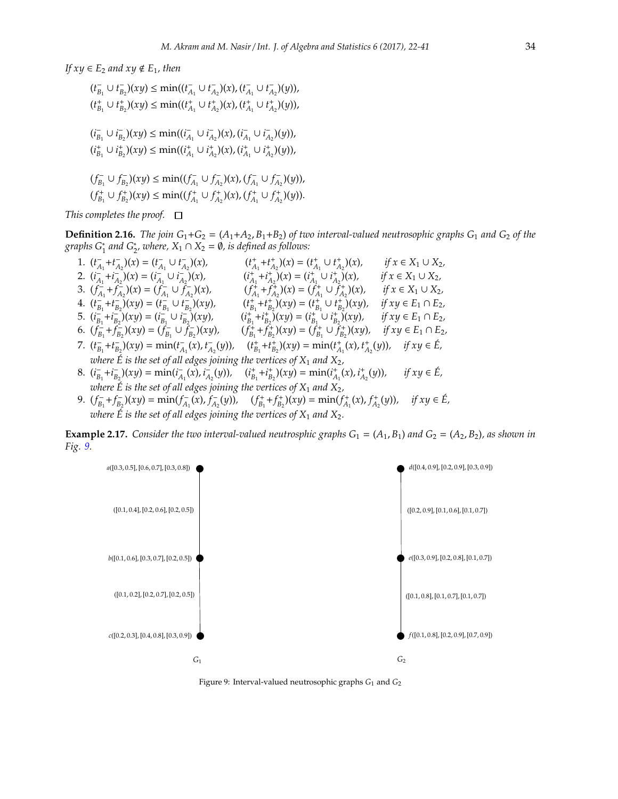*If*  $xy \in E_2$  *and*  $xy \notin E_1$ *, then* 

$$
(t_{B_1}^-\cup t_{B_2}^-\setminus(xy)\leq \min((t_{A_1}^-\cup t_{A_2}^-\setminus(x), (t_{A_1}^-\cup t_{A_2}^-\setminus(y)),(t_{B_1}^+\cup t_{B_2}^+)\setminus(xy)\leq \min((t_{A_1}^+\cup t_{A_2}^+\setminus(x), (t_{A_1}^+\cup t_{A_2}^+\setminus(y)),(t_{B_1}^-\cup t_{B_2}^-\setminus(xy)\leq \min((t_{A_1}^-\cup t_{A_2}^-\setminus(x), (t_{A_1}^-\cup t_{A_2}^-\setminus(y)),(t_{B_1}^+\cup t_{B_2}^+)\setminus(xy)\leq \min((t_{A_1}^+\cup t_{A_2}^+\setminus(x), (t_{A_1}^+\cup t_{A_2}^+\setminus(y)),(t_{B_1}^-\cup t_{B_2}^-\setminus(xy)\leq \min((t_{A_1}^-\cup t_{A_2}^-\setminus(x), (t_{A_1}^-\cup t_{A_2}^-\setminus(y)),(t_{B_1}^+\cup t_{B_2}^+\setminus(xy)\leq \min((t_{A_1}^+\cup t_{A_2}^+\setminus(x), (t_{A_1}^+\cup t_{A_2}^+\setminus(y))).
$$

*This completes the proof.*

**Definition 2.16.** *The join*  $G_1 + G_2 = (A_1 + A_2, B_1 + B_2)$  *of two interval-valued neutrosophic graphs*  $G_1$  *and*  $G_2$  *of the graphs*  $G_1^*$  *and*  $G_2^*$ *, where,*  $X_1 \cap X_2 = \emptyset$ *, is defined as follows:*  $1$   $\cdots$   $\cdots$   $2$ 

- 1.  $(t_{A_1}^+ + t_{A_2}^-)(x) = (t_{A_1}^- \cup t_{A_2}^-)(x),$   $(t_{A_1}^+ + t_{A_2}^+)(x) = (t_{A_1}^+ \cup t_{A_2}^+)(x),$   $if \ x \in X_1 \cup X_2,$ 2.  $(i_{A_1}^- + i_{A_2}^-)(x) = (i_{A_1}^- \cup i_{A_2}^-)(x)$ ,  $(i_{A_1}^+ + i_{A_2}^+)(x) = (i_{A_1}^+ \cup i_{A_2}^+)(x)$ ,  $if \ x \in X_1 \cup X_2$ , 3.  $(f_{A_1}^{\dagger} + f_{A_2}^{\dagger})(x) = (f_{A_1}^{\dagger} \cup f_{A_2}^{\dagger})(x),$   $(f_{A_1}^{\dagger} + f_{A_2}^{\dagger})(x) = (f_{A_1}^{\dagger} \cup f_{A_2}^{\dagger})(x),$   $if x \in X_1 \cup X_2,$ 4.  $(t_{B_1}^+ + t_{B_2}^-)(xy) = (t_{B_1}^- \cup t_{B_2}^-)(xy)$ ,  $(t_{B_1}^+ + t_{B_2}^+)(xy) = (t_{B_1}^+ \cup t_{B_2}^+)(xy)$ , if  $xy \in E_1 \cap E_2$ , 5.  $(i_{B_1}^- + i_{B_2}^-)(xy) = (i_{B_1}^- \cup i_{B_2}^-)(xy)$ ,  $(i_{B_1}^+ + i_{B_2}^+)(xy) = (i_{B_1}^+ \cup i_{B_2}^+)(xy)$ , if  $xy \in E_1 \cap E_2$ , 6.  $(f_{B_1}^{\dagger} + f_{B_2}^{\dagger})(xy) = (f_{B_1}^{\dagger} \cup f_{B_2}^{\dagger})(xy),$   $(f_{B_1}^{\dagger} + f_{B_2}^{\dagger})(xy) = (f_{B_1}^{\dagger} \cup f_{B_2}^{\dagger})(xy),$   $if xy \in E_1 \cap E_2$ 7.  $(t_{B_1}^+ + t_{B_2}^-) (xy) = \min(t_{A_1}^-(x), t_{A_2}^-(y)), \quad (t_{B_1}^+ + t_{B_2}^+) (xy) = \min(t_{A_1}^+(x), t_{A_2}^+(y)), \quad \text{if } xy \in \hat{E},$ where  $\acute{E}$  is the set of all edges joining the vertices of  $X_1$  and  $X_2$  , 8.  $(i_{B_1}^- + i_{B_2}^-)(xy) = \min(i_{A_1}^-(x), i_{A_2}^-(y)),$   $(i_{B_1}^+ + i_{B_2}^+)(xy) = \min(i_{A_1}^+(x), i_{A_2}^+(y)),$  if  $xy \in \hat{E}$ , where  $\acute{E}$  is the set of all edges joining the vertices of  $X_1$  and  $X_2$  ,
- 9.  $(f_{B_1}^- + f_{B_2}^-)(xy) = \min(f_{A_1}^-(x), f_{A_2}^-(y)), \quad (f_{B_1}^+ + f_{B_2}^+)(xy) = \min(f_{A_1}^+(x), f_{A_2}^+(y)), \quad \text{if } xy \in \mathring{E},$ where  $\acute{\mathrm{E}}$  is the set of all edges joining the vertices of  $\mathrm{X}_1$  and  $\mathrm{X}_2.$

**Example 2.17.** Consider the two interval-valued neutrosphic graphs  $G_1 = (A_1, B_1)$  and  $G_2 = (A_2, B_2)$ , as shown in *Fig. [9.](#page-12-0)*



<span id="page-12-0"></span>Figure 9: Interval-valued neutrosophic graphs *G*<sup>1</sup> and *G*<sup>2</sup>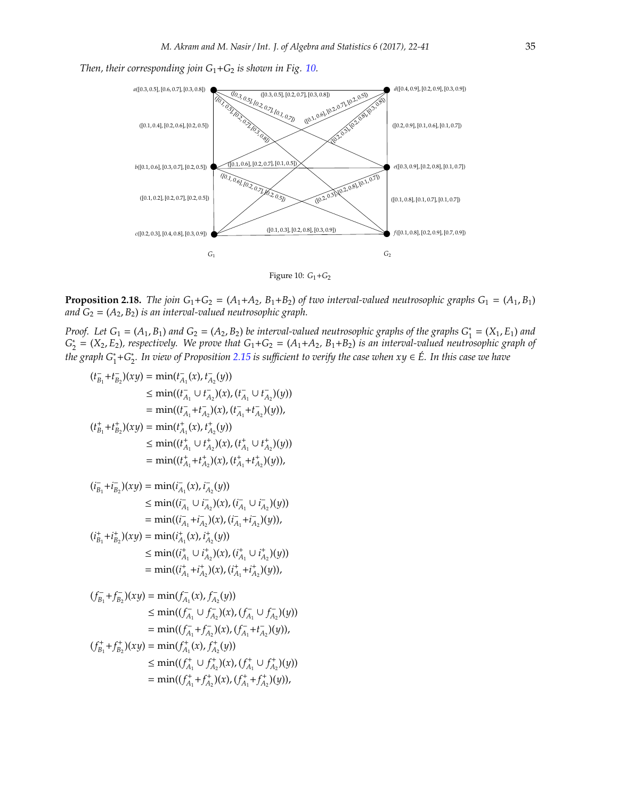



<span id="page-13-0"></span>Figure 10: *G*1+*G*<sup>2</sup>

**Proposition 2.18.** *The join*  $G_1 + G_2 = (A_1 + A_2, B_1 + B_2)$  *of two interval-valued neutrosophic graphs*  $G_1 = (A_1, B_1)$ *and*  $G_2 = (A_2, B_2)$  *is an interval-valued neutrosophic graph.* 

*Proof.* Let  $G_1 = (A_1, B_1)$  and  $G_2 = (A_2, B_2)$  be interval-valued neutrosophic graphs of the graphs  $G_1^* = (X_1, E_1)$  and  $G_2^* = (X_2, E_2)$ , respectively. We prove that  $G_1 + G_2 = (A_1 + A_2, B_1 + B_2)$  *is an interval-valued neutrosophic graph of the graph G*\*+G\*. In view of Proposition [2.15](#page-10-2) is sufficient to verify the case when xy ∈ É. In this case we have

$$
(t_{B_1}^+ + t_{B_2}^+)(xy) = \min(t_{A_1}^-(x), t_{A_2}^-(y))
$$
  
\n
$$
\leq \min((t_{A_1}^-\cup t_{A_2}^+)(x), (t_{A_1}^-\cup t_{A_2}^+)(y))
$$
  
\n
$$
= \min((t_{A_1}^+ + t_{A_2}^+)(x), (t_{A_1}^+ + t_{A_2}^+)(y)),
$$
  
\n
$$
(t_{B_1}^+ + t_{B_2}^+)(xy) = \min(t_{A_1}^+(x), t_{A_2}^+(y))
$$
  
\n
$$
\leq \min((t_{A_1}^+\cup t_{A_2}^+)(x), (t_{A_1}^+\cup t_{A_2}^+)(y)),
$$
  
\n
$$
= \min((t_{A_1}^+ + t_{A_2}^+)(x), (t_{A_1}^+ + t_{A_2}^+)(y)),
$$

$$
(i_{B_1}^-, i_{B_2}^-)(xy) = \min(i_{A_1}^-(x), i_{A_2}^-(y))
$$
  
\n
$$
\leq \min((i_{A_1}^-\cup i_{A_2}^-(x), (i_{A_1}^-\cup i_{A_2}^-(y)))
$$
  
\n
$$
= \min((i_{A_1}^-, +i_{A_2}^+)(x), (i_{A_1}^+, +i_{A_2}^+)(y)),
$$
  
\n
$$
(i_{B_1}^+, i_{B_2}^+)(xy) = \min(i_{A_1}^+(x), i_{A_2}^+(y))
$$
  
\n
$$
\leq \min((i_{A_1}^+\cup i_{A_2}^+)(x), (i_{A_1}^+\cup i_{A_2}^+)(y))
$$

$$
= \min((i_{A_1}^+ + i_{A_2}^+)(x), (i_{A_1}^+ + i_{A_2}^+)(y)),
$$

$$
(f_{B_1}^{\dagger} + f_{B_2}^{\dagger})(xy) = \min(f_{A_1}^{\dagger}(x), f_{A_2}^{\dagger}(y))
$$
  
\n
$$
\leq \min((f_{A_1}^{\dagger} \cup f_{A_2}^{\dagger})(x), (f_{A_1}^{\dagger} \cup f_{A_2}^{\dagger})(y))
$$
  
\n
$$
= \min((f_{A_1}^{\dagger} + f_{A_2}^{\dagger})(x), (f_{A_1}^{\dagger} + f_{A_2}^{\dagger})(y)),
$$
  
\n
$$
(f_{B_1}^{\dagger} + f_{B_2}^{\dagger})(xy) = \min(f_{A_1}^{\dagger}(x), f_{A_2}^{\dagger}(y))
$$
  
\n
$$
\leq \min((f_{A_1}^{\dagger} \cup f_{A_2}^{\dagger})(x), (f_{A_1}^{\dagger} \cup f_{A_2}^{\dagger})(y))
$$
  
\n
$$
= \min((f_{A_1}^{\dagger} + f_{A_2}^{\dagger})(x), (f_{A_1}^{\dagger} + f_{A_2}^{\dagger})(y)),
$$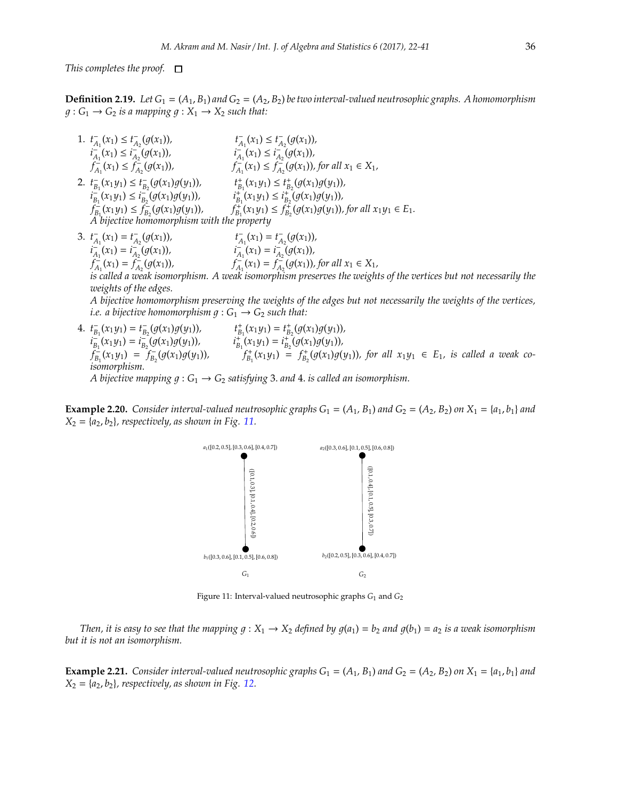*This completes the proof.*

**Definition 2.19.** Let  $G_1 = (A_1, B_1)$  and  $G_2 = (A_2, B_2)$  be two interval-valued neutrosophic graphs. A homomorphism  $g: G_1 \rightarrow G_2$  *is a mapping*  $g: X_1 \rightarrow X_2$  *such that:* 

- 1.  $t_{A_1}^{-}(x_1) \leq t_{A_2}^{-}(g(x_1)),$   $t_{A_1}^{-}(x_1) \leq t_{A_2}^{-}(g(x_1)),$  $i_{A_1}^-(x_1) \leq i_{A_2}^-(g(x_1))$ ,  $i_{A_1}^-(x_1) \leq i_{A_2}^-(g(x_1))$ ,  $f_{A_1}^{-}(x_1) \leq f_{A_2}^{-}(g(x_1))$ ,  $f_{A_1}^{-}(x_1) \leq f_{A_2}^{-}(g(x_1))$ , for all  $x_1 \in X_1$ , 2.  $t_{B_1}^-(x_1y_1) \le t_{B_2}^-(g(x_1)g(y_1)),$   $t_{B_1}^+(x_1y_1) \le t_{B_2}^+(g(x_1)g(y_1)),$  $i_{B_1}^-(x_1y_1) \leq i_{B_2}^-(g(x_1)g(y_1)),$   $i_{B_1}^+(x_1y_1) \leq i_{B_2}^+(g(x_1)g(y_1)),$  $f_{B_1}^{\dagger}(x_1y_1) \leq f_{B_2}^{\dagger}(g(x_1)g(y_1)),$   $f_{B_1}^{\dagger}(x_1y_1) \leq f_{B_2}^{\dagger}(g(x_1)g(y_1)),$  for all  $x_1y_1 \in E_1$ . *A bijective homomorphism with the property*
- 3.  $t_{A_1}^-(x_1) = t_{A_2}^-(g(x_1))$ ,  $t_{A_1}^-(x_1) = t_{A_2}^-(g(x_1)),$   $t_{A_1}^-(x_1) = t_{A_2}^-(g(x_1)),$  $i_{A_1}^-(x_1) = i_{A_2}^-(g(x_1))$ ,  $i_{A_1}^-(x_1) = i_{A_2}^-(g(x_1))$ ,  $f_{A_1}^{-1}(x_1) = f_{A_2}^{-1}(g(x_1))$ ,  $f_{A_1}^{-1}(x_1) = f_{A_2}^{-1}(g(x_1))$ , for all  $x_1 \in X_1$ , *is called a weak isomorphism. A weak isomorphism preserves the weights of the vertices but not necessarily the weights of the edges. A bijective homomorphism preserving the weights of the edges but not necessarily the weights of the vertices, i.e. a bijective homomorphism*  $q : G_1 \rightarrow G_2$  *such that:*
- 4.  $t_{B_1}^-(x_1y_1) = t_{B_2}^-(g(x_1)g(y_1)),$   $t_{B_1}^+(x_1y_1) = t_{B_2}^+(g(x_1)g(y_1)),$  $i_{B_1}^-(x_1y_1) = i_{B_2}^-(g(x_1)g(y_1)),$   $i_{B_1}^+(x_1y_1) = i_{B_2}^+(\overline{g(x_1)}g(y_1)),$  $f_{B_1}^+(x_1y_1) = f_{B_2}^-(g(x_1)g(y_1)),$   $f_{B_1}^+(x_1y_1) = f_{B_2}^+(g(x_1)g(y_1)),$  for all  $x_1y_1 \in E_1$ , is called a weak co*isomorphism. A bijective mapping*  $g : G_1 \to G_2$  *satisfying* 3. *and* 4. *is called an isomorphism.*

**Example 2.20.** Consider interval-valued neutrosophic graphs  $G_1 = (A_1, B_1)$  and  $G_2 = (A_2, B_2)$  on  $X_1 = \{a_1, b_1\}$  and  $X_2 = \{a_2, b_2\}$ , respectively, as shown in Fig. [11.](#page-14-0)



<span id="page-14-0"></span>Figure 11: Interval-valued neutrosophic graphs  $G_1$  and  $G_2$ 

*Then, it is easy to see that the mapping*  $q: X_1 \to X_2$  *defined by*  $q(a_1) = b_2$  *and*  $q(b_1) = a_2$  *is a weak isomorphism but it is not an isomorphism.*

**Example 2.21.** Consider interval-valued neutrosophic graphs  $G_1 = (A_1, B_1)$  and  $G_2 = (A_2, B_2)$  on  $X_1 = \{a_1, b_1\}$  and  $X_2 = \{a_2, b_2\}$ , respectively, as shown in Fig. [12.](#page-15-0)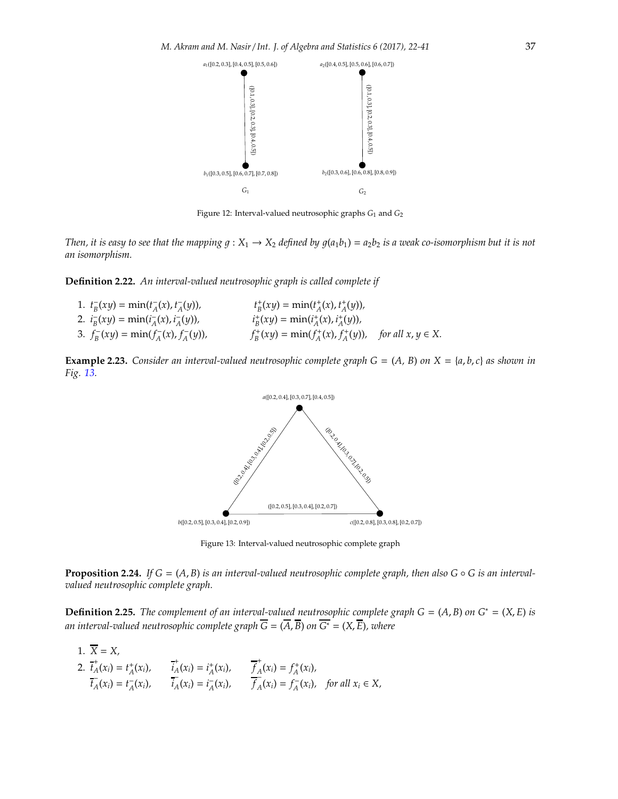

<span id="page-15-0"></span>Figure 12: Interval-valued neutrosophic graphs  $G_1$  and  $G_2$ 

*Then, it is easy to see that the mapping*  $g: X_1 \to X_2$  *defined by*  $g(a_1b_1) = a_2b_2$  *is a weak co-isomorphism but it is not an isomorphism.*

**Definition 2.22.** *An interval-valued neutrosophic graph is called complete if*

1.  $t_B^-(xy) = \min(t_A^-(x), t_A^-(y)),$   $t_B^+(xy) = \min(t_A^+(x), t_A^+(y)),$ 2.  $i_B^-(xy) = \min(i_A^-(x), i_A^-(y)),$   $i_B^+(xy) = \min(i_A^+(x), i_A^+(y)),$ 3.  $f_B^-(xy) = \min(f_A^-(x), f_A^-(y)),$   $f_B^+(xy) = \min(f_A^+(x), f_A^+(y)),$  for all  $x, y \in X$ .

**Example 2.23.** *Consider an interval-valued neutrosophic complete graph*  $G = (A, B)$  *on*  $X = \{a, b, c\}$  *as shown in Fig. [13.](#page-15-1)*



<span id="page-15-1"></span>Figure 13: Interval-valued neutrosophic complete graph

**Proposition 2.24.** *If*  $G = (A, B)$  *is an interval-valued neutrosophic complete graph, then also*  $G \circ G$  *is an intervalvalued neutrosophic complete graph.*

**Definition 2.25.** *The complement of an interval-valued neutrosophic complete graph*  $G = (A, B)$  *on*  $G^* = (X, E)$  *is an interval-valued neutrosophic complete graph*  $\overline{G} = (\overline{A}, \overline{B})$  *on*  $\overline{G^*} = (X, \overline{E})$ *, where* 

1.  $\overline{X} = X$ , 2.  $\overline{t}_A^+$  $A^+(x_i) = t_A^+(x_i),$  *i*<sub>A</sub>  $A^{\dagger}(x_i) = i^{\dagger}_A(x_i), \qquad \overline{f}^{\dagger}_A$  $f_A^+(x_i) = f_A^+(x_i)$ ,  $\overline{t_A}(x_i) = t_A^-(x_i), \qquad \overline{t_A}(x_i) = t_A^-(x_i), \qquad \overline{t_A}(x_i)$  $A(x_i) = f_A^-(x_i)$ , for all  $x_i \in X$ ,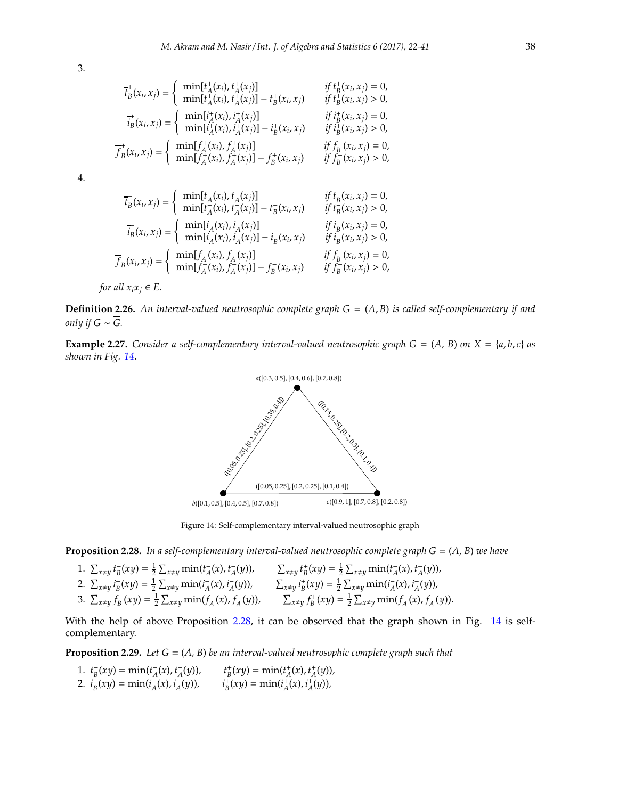3.

$$
\vec{t}_B^+(x_i, x_j) = \begin{cases}\n\min[t_A^+(x_i), t_A^+(x_j)] & \text{if } t_B^+(x_i, x_j) = 0, \\
\min[t_A^+(x_i), t_A^+(x_j)] - t_B^+(x_i, x_j) & \text{if } t_B^+(x_i, x_j) > 0, \\
\vec{i}_B^+(x_i, x_j) = \begin{cases}\n\min[i_A^+(x_i), i_A^+(x_j)] & \text{if } i_B^+(x_i, x_j) = 0, \\
\min[i_A^+(x_i), i_A^+(x_j)] - i_B^+(x_i, x_j) & \text{if } i_B^+(x_i, x_j) > 0, \\
\end{cases}
$$
\n
$$
\vec{f}_B^+(x_i, x_j) = \begin{cases}\n\min[f_A^+(x_i), f_A^+(x_j)] & \text{if } f_B^+(x_i, x_j) = 0, \\
\min[f_A^+(x_i), f_A^+(x_j)] - f_B^+(x_i, x_j) & \text{if } f_B^+(x_i, x_j) > 0,\n\end{cases}
$$

4.

$$
\overline{t}_{B}(x_{i}, x_{j}) = \begin{cases}\n\min[t_{A}^{-}(x_{i}), t_{A}^{-}(x_{j})] & \text{if } t_{B}^{-}(x_{i}, x_{j}) = 0, \\
\min[t_{A}^{-}(x_{i}), t_{A}^{-}(x_{j})] - t_{B}^{-}(x_{i}, x_{j}) & \text{if } t_{B}^{-}(x_{i}, x_{j}) > 0,\n\end{cases}
$$
\n
$$
\overline{t}_{B}^{-}(x_{i}, x_{j}) = \begin{cases}\n\min[t_{A}^{-}(x_{i}), t_{A}^{-}(x_{j})] & \text{if } t_{B}^{-}(x_{i}, x_{j}) = 0, \\
\min[t_{A}^{-}(x_{i}), t_{A}^{-}(x_{j})] - t_{B}^{-}(x_{i}, x_{j}) & \text{if } t_{B}^{-}(x_{i}, x_{j}) > 0,\n\end{cases}
$$
\n
$$
\overline{f}_{B}^{-}(x_{i}, x_{j}) = \begin{cases}\n\min[f_{A}^{-}(x_{i}), f_{A}^{-}(x_{j})] & \text{if } f_{B}^{-}(x_{i}, x_{j}) = 0, \\
\min[f_{A}^{-}(x_{i}), f_{A}^{-}(x_{j})] - f_{B}^{-}(x_{i}, x_{j}) & \text{if } f_{B}^{-}(x_{i}, x_{j}) > 0,\n\end{cases}
$$

*for all*  $x_i x_j \in E$ .

**Definition 2.26.** *An interval-valued neutrosophic complete graph G* = (*A*, *B*) *is called self-complementary if and only if*  $G \sim \overline{G}$ *.* 

**Example 2.27.** *Consider a self-complementary interval-valued neutrosophic graph*  $G = (A, B)$  *on*  $X = \{a, b, c\}$  *as shown in Fig. [14.](#page-16-0)*



<span id="page-16-0"></span>Figure 14: Self-complementary interval-valued neutrosophic graph

<span id="page-16-1"></span>**Proposition 2.28.** *In a self-complementary interval-valued neutrosophic complete graph G* = (*A, B*) *we have*

1.  $\sum_{x\neq y} t_{B}^{-}(xy) = \frac{1}{2} \sum_{x\neq y} \min(t_{A}^{-}(x), t_{A}^{-}(y)),$   $\sum_{x\neq y} t_{B}^{+}(xy) = \frac{1}{2} \sum_{x\neq y} \min(t_{A}^{-}(x), t_{A}^{-}(y)),$ 2.  $\sum_{x\neq y} i_{\overline{B}}(xy) = \frac{1}{2} \sum_{x\neq y} \min(i_{\overline{A}}(x), i_{\overline{A}}(y)), \qquad \sum_{x\neq y} i_{\overline{B}}^+(xy) = \frac{1}{2} \sum_{x\neq y} \min(i_{\overline{A}}^-(x), i_{\overline{A}}^-(y)),$ 3.  $\sum_{x\neq y} f_B^-(xy) = \frac{1}{2} \sum_{x\neq y} \min(f_A^-(x), f_A^-(y)),$   $\sum_{x\neq y} f_B^+(xy) = \frac{1}{2} \sum_{x\neq y} \min(f_A^-(x), f_A^-(y)).$ 

With the help of above Proposition [2.28,](#page-16-1) it can be observed that the graph shown in Fig. [14](#page-16-0) is selfcomplementary.

**Proposition 2.29.** *Let G* = (*A, B*) *be an interval-valued neutrosophic complete graph such that*

1.  $t_B^-(xy) = \min(t_A^-(x), t_A^-(y)), \qquad t_B^+(xy) = \min(t_A^+(x), t_A^+(y)),$ 2.  $i_B^-(xy) = \min(i_A^-(x), i_A^-(y)), \qquad i_B^+(xy) = \min(i_A^+(x), i_A^+(y)),$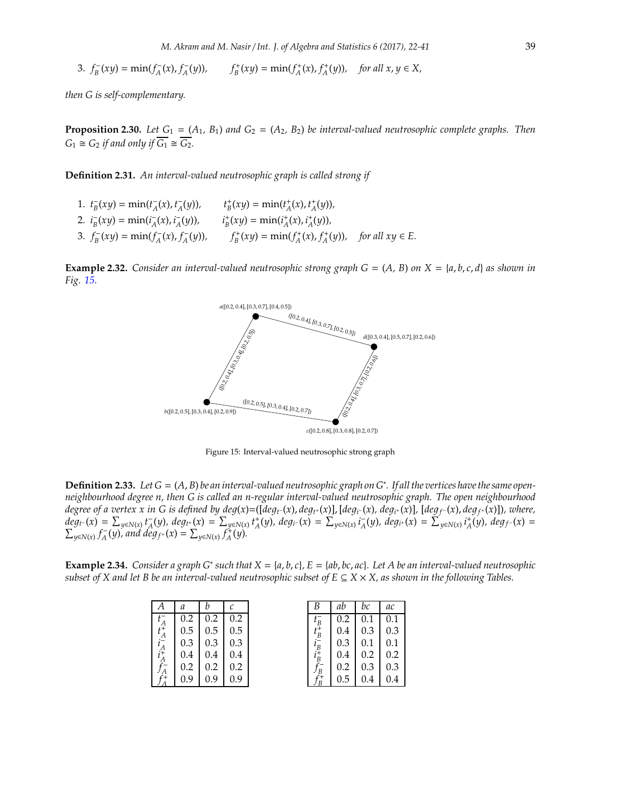3.  $f_B^-(xy) = \min(f_A^-(x), f_A^-(y)),$   $f_B^+(xy) = \min(f_A^+(x), f_A^+(y)),$  for all  $x, y \in X$ ,

*then G is self-complementary.*

**Proposition 2.30.** *Let*  $G_1 = (A_1, B_1)$  *and*  $G_2 = (A_2, B_2)$  *be interval-valued neutrosophic complete graphs. Then*  $G_1 \cong G_2$  *if and only if*  $\overline{G_1} \cong \overline{G_2}$ *.* 

**Definition 2.31.** *An interval-valued neutrosophic graph is called strong if*

| 1. $t_B^-(xy) = \min(t_A^-(x), t_A^-(y)),$  | $t_{R}^{+}(xy) = \min(t_{A}^{+}(x), t_{A}^{+}(y)),$ |                      |
|---------------------------------------------|-----------------------------------------------------|----------------------|
| 2. $i_R^-(xy) = \min(i_A^-(x), i_A^-(y))$ , | $i_R^+(xy) = \min(i_A^+(x), i_A^+(y)),$             |                      |
| 3. $f_R^-(xy) = \min(f_A^-(x), f_A^-(y)),$  | $f_R^+(xy) = \min(f_A^+(x), f_A^+(y)),$             | for all $xy \in E$ . |

**Example 2.32.** Consider an interval-valued neutrosophic strong graph  $G = (A, B)$  on  $X = \{a, b, c, d\}$  as shown in *Fig. [15.](#page-17-0)*



<span id="page-17-0"></span>Figure 15: Interval-valued neutrosophic strong graph

**Definition 2.33.** *Let G* = (*A*, *B*) *be an interval-valued neutrosophic graph on G*<sup>∗</sup> *. If all the vertices have the same openneighbourhood degree n, then G is called an n-regular interval-valued neutrosophic graph. The open neighbourhood* degree of a vertex x in G is defined by deg(x)=([deg<sub>t</sub>-(x), deg<sub>t+</sub>(x)], [deg<sub>i</sub>-(x), deg<sub>i+</sub>(x)], [deg<sub>f-</sub>(x), deg<sub>f+</sub>(x)]), where,  $deg_{t^-}(x) = \sum_{y \in N(x)} t_A^-(y), deg_{t^+}(x) = \sum_{y \in N(x)} t_A^+(y), deg_{t^-}(x) = \sum_{y \in N(x)} t_A^-(y), deg_{t^+}(x) = \sum_{y \in N(x)} t_A^+(y), deg_{f^-}(x) = \sum_{y \in N(x)} t_A^+(y)$  $\sum_{y \in N(x)} f_A^-(y)$ , and  $\deg_{f^+}(x) = \sum_{y \in N(x)} f_A^+(y)$ .

**Example 2.34.** *Consider a graph G*<sup>∗</sup> *such that X* = {*a*, *b*, *c*}*, E* = {*ab*, *bc*, *ac*}*. Let A be an interval-valued neutrosophic subset of X and let B be an interval-valued neutrosophic subset of E*  $\subseteq$  *X*  $\times$  *X*, *as shown in the following Tables.* 

| Α       | a   | h   | C   |
|---------|-----|-----|-----|
| $t_A^-$ | 0.2 | 0.2 | 0.2 |
|         | 0.5 | 0.5 | 0.5 |
|         | 0.3 | 0.3 | 0.3 |
|         | 0.4 | 0.4 | 0.4 |
|         | 0.2 | 0.2 | 0.2 |
|         | 0.9 | 0.9 | 0.9 |

| B       | ab  | hc. | ac  |
|---------|-----|-----|-----|
| $t_R^-$ | 0.2 | 0.1 | 0.1 |
| $t_R^+$ | 0.4 | 0.3 | 0.3 |
| $i_B^-$ | 0.3 | 0.1 | 0.1 |
| $i_B^+$ | 0.4 | 0.2 | 0.2 |
| l B     | 0.2 | 0.3 | 0.3 |
|         | 0.5 | 0.4 | 0.4 |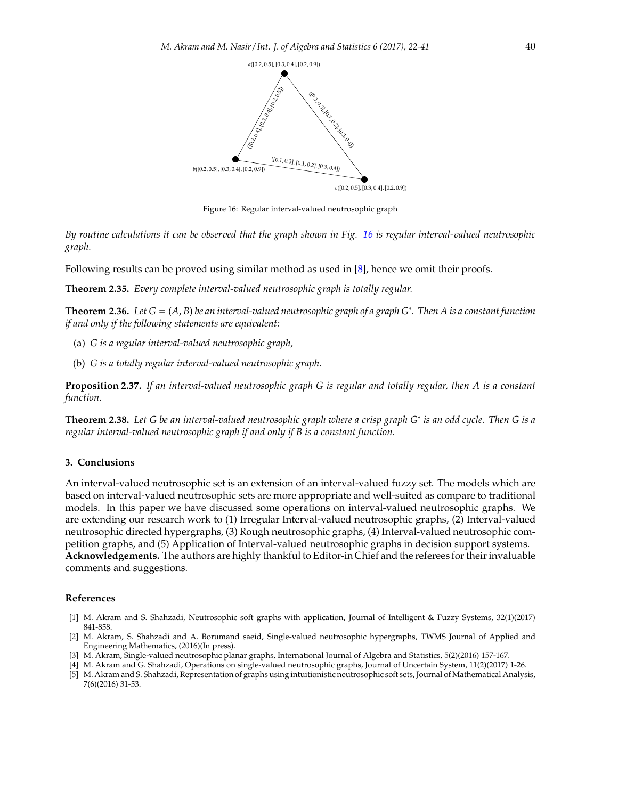

<span id="page-18-5"></span>Figure 16: Regular interval-valued neutrosophic graph

*By routine calculations it can be observed that the graph shown in Fig. [16](#page-18-5) is regular interval-valued neutrosophic graph.*

Following results can be proved using similar method as used in [\[8\]](#page-19-22), hence we omit their proofs.

**Theorem 2.35.** *Every complete interval-valued neutrosophic graph is totally regular.*

**Theorem 2.36.** *Let G* = (*A*, *B*) *be an interval-valued neutrosophic graph of a graph G*<sup>∗</sup> *. Then A is a constant function if and only if the following statements are equivalent:*

- (a) *G is a regular interval-valued neutrosophic graph,*
- (b) *G is a totally regular interval-valued neutrosophic graph.*

**Proposition 2.37.** *If an interval-valued neutrosophic graph G is regular and totally regular, then A is a constant function.*

**Theorem 2.38.** *Let G be an interval-valued neutrosophic graph where a crisp graph G*<sup>∗</sup> *is an odd cycle. Then G is a regular interval-valued neutrosophic graph if and only if B is a constant function.*

### **3. Conclusions**

An interval-valued neutrosophic set is an extension of an interval-valued fuzzy set. The models which are based on interval-valued neutrosophic sets are more appropriate and well-suited as compare to traditional models. In this paper we have discussed some operations on interval-valued neutrosophic graphs. We are extending our research work to (1) Irregular Interval-valued neutrosophic graphs, (2) Interval-valued neutrosophic directed hypergraphs, (3) Rough neutrosophic graphs, (4) Interval-valued neutrosophic competition graphs, and (5) Application of Interval-valued neutrosophic graphs in decision support systems. **Acknowledgements.** The authors are highly thankful to Editor-in Chief and the referees for their invaluable comments and suggestions.

### **References**

- <span id="page-18-0"></span>[1] M. Akram and S. Shahzadi, Neutrosophic soft graphs with application, Journal of Intelligent & Fuzzy Systems, 32(1)(2017) 841-858.
- <span id="page-18-2"></span>[2] M. Akram, S. Shahzadi and A. Borumand saeid, Single-valued neutrosophic hypergraphs, TWMS Journal of Applied and Engineering Mathematics, (2016)(In press).
- <span id="page-18-1"></span>[3] M. Akram, Single-valued neutrosophic planar graphs, International Journal of Algebra and Statistics, 5(2)(2016) 157-167.
- <span id="page-18-4"></span>[4] M. Akram and G. Shahzadi, Operations on single-valued neutrosophic graphs, Journal of Uncertain System, 11(2)(2017) 1-26.
- <span id="page-18-3"></span>[5] M. Akram and S. Shahzadi, Representation of graphs using intuitionistic neutrosophic soft sets, Journal of Mathematical Analysis, 7(6)(2016) 31-53.